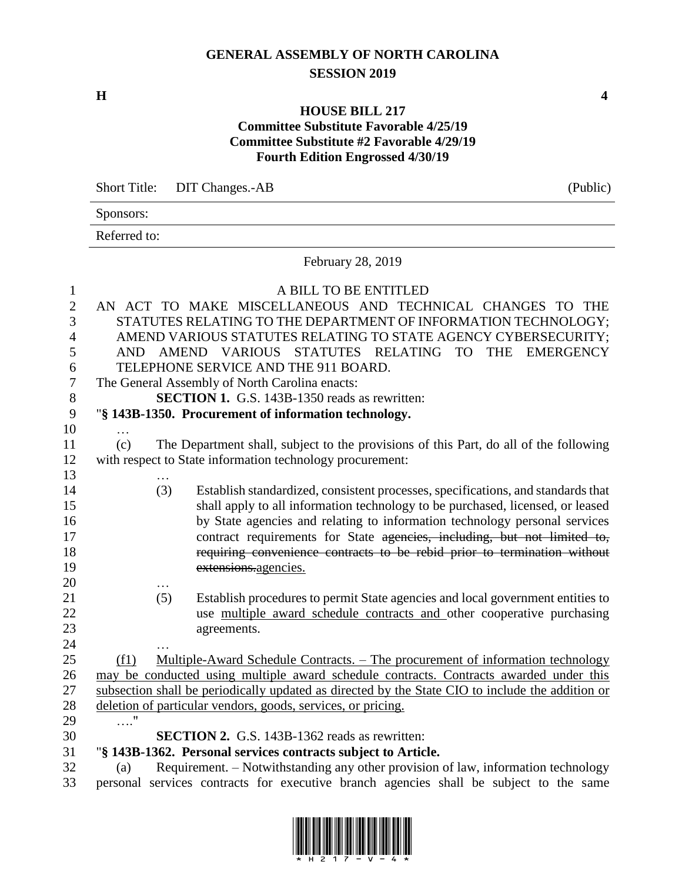## **GENERAL ASSEMBLY OF NORTH CAROLINA SESSION 2019**

**H 4**

#### **HOUSE BILL 217 Committee Substitute Favorable 4/25/19 Committee Substitute #2 Favorable 4/29/19 Fourth Edition Engrossed 4/30/19**

Short Title: DIT Changes.-AB (Public) Sponsors: Referred to: February 28, 2019 A BILL TO BE ENTITLED AN ACT TO MAKE MISCELLANEOUS AND TECHNICAL CHANGES TO THE STATUTES RELATING TO THE DEPARTMENT OF INFORMATION TECHNOLOGY; AMEND VARIOUS STATUTES RELATING TO STATE AGENCY CYBERSECURITY; AND AMEND VARIOUS STATUTES RELATING TO THE EMERGENCY TELEPHONE SERVICE AND THE 911 BOARD. The General Assembly of North Carolina enacts: **SECTION 1.** G.S. 143B-1350 reads as rewritten: "**§ 143B-1350. Procurement of information technology.** … (c) The Department shall, subject to the provisions of this Part, do all of the following with respect to State information technology procurement: … (3) Establish standardized, consistent processes, specifications, and standards that shall apply to all information technology to be purchased, licensed, or leased by State agencies and relating to information technology personal services 17 contract requirements for State agencies, including, but not limited to, requiring convenience contracts to be rebid prior to termination without extensions.agencies. … (5) Establish procedures to permit State agencies and local government entities to use multiple award schedule contracts and other cooperative purchasing agreements. (f1) Multiple-Award Schedule Contracts. – The procurement of information technology may be conducted using multiple award schedule contracts. Contracts awarded under this subsection shall be periodically updated as directed by the State CIO to include the addition or deletion of particular vendors, goods, services, or pricing. …." **SECTION 2.** G.S. 143B-1362 reads as rewritten: "**§ 143B-1362. Personal services contracts subject to Article.** (a) Requirement. – Notwithstanding any other provision of law, information technology personal services contracts for executive branch agencies shall be subject to the same

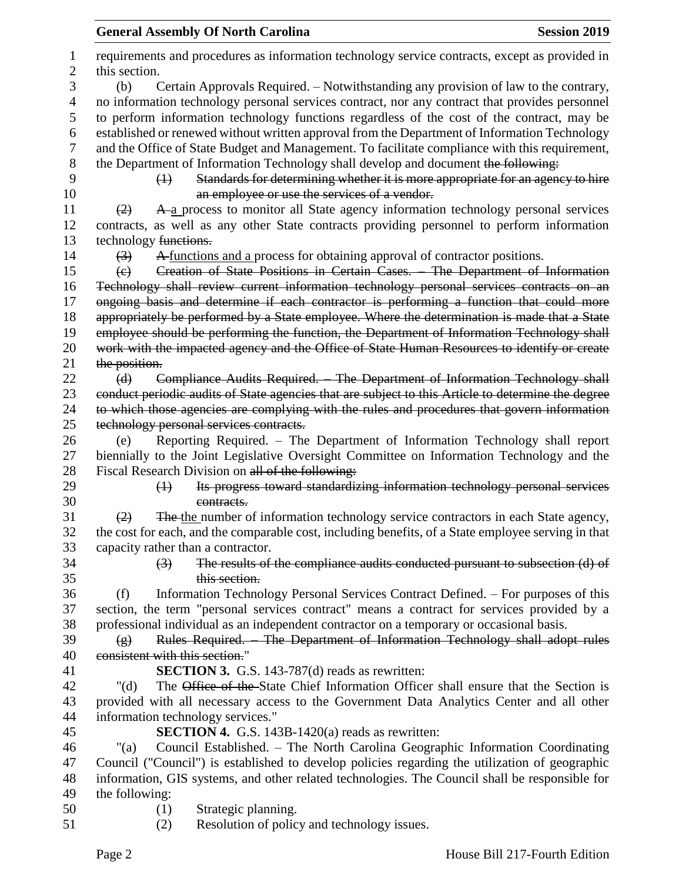|                     | <b>General Assembly Of North Carolina</b><br><b>Session 2019</b>                                                |  |  |  |
|---------------------|-----------------------------------------------------------------------------------------------------------------|--|--|--|
| 1<br>$\overline{c}$ | requirements and procedures as information technology service contracts, except as provided in<br>this section. |  |  |  |
| 3                   | Certain Approvals Required. – Notwithstanding any provision of law to the contrary,<br>(b)                      |  |  |  |
| 4                   | no information technology personal services contract, nor any contract that provides personnel                  |  |  |  |
| 5                   | to perform information technology functions regardless of the cost of the contract, may be                      |  |  |  |
| 6                   | established or renewed without written approval from the Department of Information Technology                   |  |  |  |
| 7                   | and the Office of State Budget and Management. To facilitate compliance with this requirement,                  |  |  |  |
| $8\,$               | the Department of Information Technology shall develop and document the following:                              |  |  |  |
| 9                   | Standards for determining whether it is more appropriate for an agency to hire<br>$\leftrightarrow$             |  |  |  |
| 10                  | an employee or use the services of a vendor.                                                                    |  |  |  |
| 11                  | A a process to monitor all State agency information technology personal services<br>(2)                         |  |  |  |
| 12                  | contracts, as well as any other State contracts providing personnel to perform information                      |  |  |  |
| 13                  | technology functions.                                                                                           |  |  |  |
| 14                  | A functions and a process for obtaining approval of contractor positions.<br>$\left(3\right)$                   |  |  |  |
| 15                  | Creation of State Positions in Certain Cases. The Department of Information<br>$\left(\mathrm{e}\right)$        |  |  |  |
| 16                  | Technology shall review current information technology personal services contracts on an                        |  |  |  |
| 17                  | ongoing basis and determine if each contractor is performing a function that could more                         |  |  |  |
| 18                  | appropriately be performed by a State employee. Where the determination is made that a State                    |  |  |  |
| 19                  | employee should be performing the function, the Department of Information Technology shall                      |  |  |  |
| 20                  | work with the impacted agency and the Office of State Human Resources to identify or create                     |  |  |  |
| 21                  | the position.                                                                                                   |  |  |  |
| 22                  | Compliance Audits Required. The Department of Information Technology shall<br>(d)                               |  |  |  |
| 23                  | conduct periodic audits of State agencies that are subject to this Article to determine the degree              |  |  |  |
| 24                  | to which those agencies are complying with the rules and procedures that govern information                     |  |  |  |
| 25                  | technology personal services contracts.                                                                         |  |  |  |
| 26                  | Reporting Required. - The Department of Information Technology shall report<br>(e)                              |  |  |  |
| 27                  | biennially to the Joint Legislative Oversight Committee on Information Technology and the                       |  |  |  |
| 28                  | Fiscal Research Division on all of the following:                                                               |  |  |  |
| 29                  | Its progress toward standardizing information technology personal services<br>$\leftrightarrow$                 |  |  |  |
| 30                  | contracts.                                                                                                      |  |  |  |
| 31                  | The the number of information technology service contractors in each State agency,<br>(2)                       |  |  |  |
| 32                  | the cost for each, and the comparable cost, including benefits, of a State employee serving in that             |  |  |  |
| 33                  | capacity rather than a contractor.                                                                              |  |  |  |
| 34                  | The results of the compliance audits conducted pursuant to subsection (d) of<br>$\left(3\right)$                |  |  |  |
| 35                  | this section.                                                                                                   |  |  |  |
| 36                  | Information Technology Personal Services Contract Defined. – For purposes of this<br>(f)                        |  |  |  |
| 37                  | section, the term "personal services contract" means a contract for services provided by a                      |  |  |  |
| 38                  | professional individual as an independent contractor on a temporary or occasional basis.                        |  |  |  |
| 39                  | Rules Required. The Department of Information Technology shall adopt rules<br>$\circ$                           |  |  |  |
| 40                  | consistent with this section."                                                                                  |  |  |  |
| 41                  | <b>SECTION 3.</b> G.S. 143-787(d) reads as rewritten:                                                           |  |  |  |
| 42                  | The Office of the State Chief Information Officer shall ensure that the Section is<br>" $(d)$                   |  |  |  |
| 43                  | provided with all necessary access to the Government Data Analytics Center and all other                        |  |  |  |
| 44                  | information technology services."                                                                               |  |  |  |
| 45                  | <b>SECTION 4.</b> G.S. 143B-1420(a) reads as rewritten:                                                         |  |  |  |
| 46                  | Council Established. – The North Carolina Geographic Information Coordinating<br>"(a)                           |  |  |  |
| 47                  | Council ("Council") is established to develop policies regarding the utilization of geographic                  |  |  |  |
| 48                  | information, GIS systems, and other related technologies. The Council shall be responsible for                  |  |  |  |
| 49                  | the following:                                                                                                  |  |  |  |
| 50                  | Strategic planning.<br>(1)                                                                                      |  |  |  |
| 51                  | Resolution of policy and technology issues.<br>(2)                                                              |  |  |  |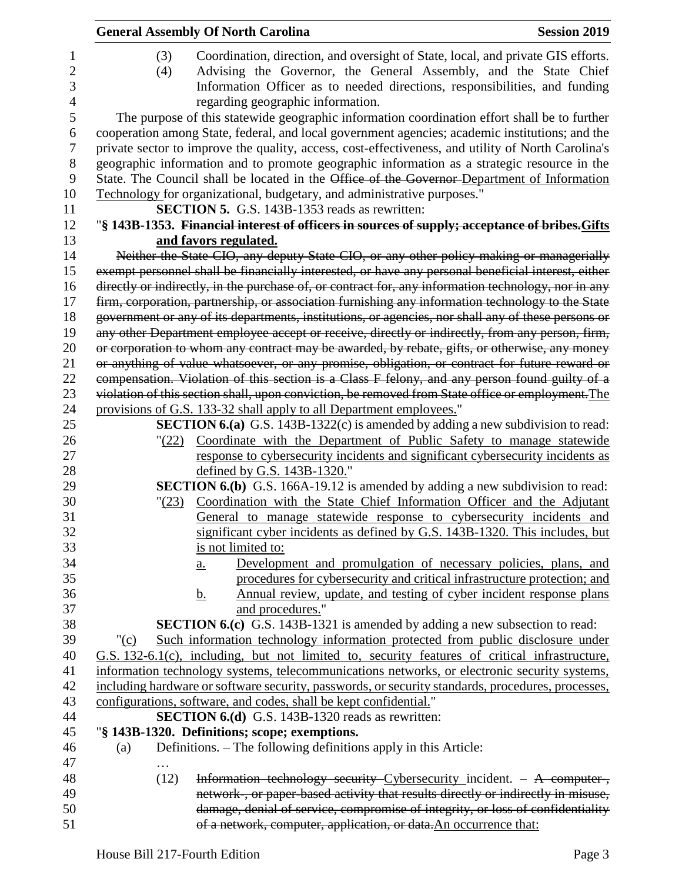|    | <b>General Assembly Of North Carolina</b>                                                           | <b>Session 2019</b> |
|----|-----------------------------------------------------------------------------------------------------|---------------------|
| 1  | Coordination, direction, and oversight of State, local, and private GIS efforts.<br>(3)             |                     |
| 2  | Advising the Governor, the General Assembly, and the State Chief<br>(4)                             |                     |
| 3  | Information Officer as to needed directions, responsibilities, and funding                          |                     |
| 4  | regarding geographic information.                                                                   |                     |
| 5  | The purpose of this statewide geographic information coordination effort shall be to further        |                     |
| 6  | cooperation among State, federal, and local government agencies; academic institutions; and the     |                     |
| 7  | private sector to improve the quality, access, cost-effectiveness, and utility of North Carolina's  |                     |
| 8  | geographic information and to promote geographic information as a strategic resource in the         |                     |
| 9  | State. The Council shall be located in the Office of the Governor-Department of Information         |                     |
| 10 | Technology for organizational, budgetary, and administrative purposes."                             |                     |
| 11 | <b>SECTION 5.</b> G.S. 143B-1353 reads as rewritten:                                                |                     |
| 12 | "§ 143B-1353. Financial interest of officers in sources of supply; acceptance of bribes. Gifts      |                     |
| 13 | and favors regulated.                                                                               |                     |
| 14 | Neither the State CIO, any deputy State CIO, or any other policy-making or managerially             |                     |
| 15 | exempt personnel shall be financially interested, or have any personal beneficial interest, either  |                     |
| 16 | directly or indirectly, in the purchase of, or contract for, any information technology, nor in any |                     |
| 17 | firm, corporation, partnership, or association furnishing any information technology to the State   |                     |
| 18 | government or any of its departments, institutions, or agencies, nor shall any of these persons or  |                     |
| 19 | any other Department employee accept or receive, directly or indirectly, from any person, firm,     |                     |
| 20 | or corporation to whom any contract may be awarded, by rebate, gifts, or otherwise, any money       |                     |
| 21 | or anything of value whatsoever, or any promise, obligation, or contract for future reward or       |                     |
| 22 | compensation. Violation of this section is a Class F felony, and any person found guilty of a       |                     |
| 23 | violation of this section shall, upon conviction, be removed from State office or employment. The   |                     |
| 24 | provisions of G.S. 133-32 shall apply to all Department employees."                                 |                     |
| 25 | <b>SECTION 6.(a)</b> G.S. 143B-1322(c) is amended by adding a new subdivision to read:              |                     |
| 26 | "(22) Coordinate with the Department of Public Safety to manage statewide                           |                     |
| 27 | response to cybersecurity incidents and significant cybersecurity incidents as                      |                     |
| 28 | defined by G.S. 143B-1320."                                                                         |                     |
| 29 | SECTION 6.(b) G.S. 166A-19.12 is amended by adding a new subdivision to read:                       |                     |
| 30 | Coordination with the State Chief Information Officer and the Adjutant<br>"(23)                     |                     |
| 31 | General to manage statewide response to cybersecurity incidents and                                 |                     |
| 32 | significant cyber incidents as defined by G.S. 143B-1320. This includes, but                        |                     |
| 33 | is not limited to:                                                                                  |                     |
| 34 | Development and promulgation of necessary policies, plans, and<br><u>a.</u>                         |                     |
| 35 | procedures for cybersecurity and critical infrastructure protection; and                            |                     |
| 36 | Annual review, update, and testing of cyber incident response plans<br><u>b.</u>                    |                     |
| 37 | and procedures."                                                                                    |                     |
| 38 | <b>SECTION 6.(c)</b> G.S. 143B-1321 is amended by adding a new subsection to read:                  |                     |
| 39 | Such information technology information protected from public disclosure under<br>" $(c)$           |                     |
| 40 | G.S. 132-6.1(c), including, but not limited to, security features of critical infrastructure,       |                     |
| 41 | information technology systems, telecommunications networks, or electronic security systems,        |                     |
| 42 | including hardware or software security, passwords, or security standards, procedures, processes,   |                     |
| 43 | configurations, software, and codes, shall be kept confidential."                                   |                     |
| 44 | <b>SECTION 6.(d)</b> G.S. 143B-1320 reads as rewritten:                                             |                     |
| 45 | "§ 143B-1320. Definitions; scope; exemptions.                                                       |                     |
| 46 | Definitions. – The following definitions apply in this Article:<br>(a)                              |                     |
| 47 |                                                                                                     |                     |
| 48 | Information technology security Cybersecurity incident. - A computer-,<br>(12)                      |                     |
| 49 | network-, or paper-based activity that results directly or indirectly in misuse,                    |                     |
| 50 | damage, denial of service, compromise of integrity, or loss of confidentiality                      |                     |
| 51 | of a network, computer, application, or data. An occurrence that:                                   |                     |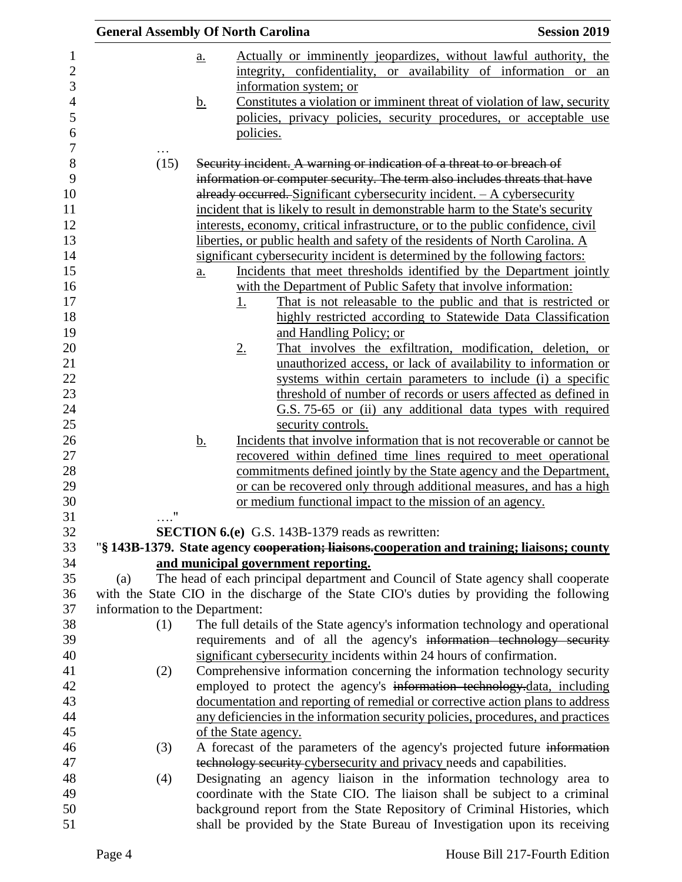|                                | <b>General Assembly Of North Carolina</b>                                                                                | <b>Session 2019</b> |
|--------------------------------|--------------------------------------------------------------------------------------------------------------------------|---------------------|
|                                | Actually or imminently jeopardizes, without lawful authority, the<br>a.                                                  |                     |
|                                | integrity, confidentiality, or availability of information or an                                                         |                     |
|                                | information system; or                                                                                                   |                     |
|                                | Constitutes a violation or imminent threat of violation of law, security<br><u>b.</u>                                    |                     |
|                                | policies, privacy policies, security procedures, or acceptable use                                                       |                     |
|                                | policies.                                                                                                                |                     |
| $\cdots$<br>(15)               | Security incident. A warning or indication of a threat to or breach of                                                   |                     |
|                                | information or computer security. The term also includes threats that have                                               |                     |
|                                | already occurred. Significant cybersecurity incident. - A cybersecurity                                                  |                     |
|                                | incident that is likely to result in demonstrable harm to the State's security                                           |                     |
|                                | interests, economy, critical infrastructure, or to the public confidence, civil                                          |                     |
|                                | liberties, or public health and safety of the residents of North Carolina. A                                             |                     |
|                                | significant cybersecurity incident is determined by the following factors:                                               |                     |
|                                | Incidents that meet thresholds identified by the Department jointly<br>$\underline{a}$ .                                 |                     |
|                                | with the Department of Public Safety that involve information:                                                           |                     |
|                                | That is not releasable to the public and that is restricted or<br><u>1.</u>                                              |                     |
|                                | highly restricted according to Statewide Data Classification                                                             |                     |
|                                | and Handling Policy; or                                                                                                  |                     |
|                                | That involves the exfiltration, modification, deletion, or<br>$2_{\cdot}$                                                |                     |
|                                | unauthorized access, or lack of availability to information or                                                           |                     |
|                                | systems within certain parameters to include (i) a specific                                                              |                     |
|                                | threshold of number of records or users affected as defined in                                                           |                     |
|                                | G.S. 75-65 or (ii) any additional data types with required                                                               |                     |
|                                | security controls.                                                                                                       |                     |
|                                | Incidents that involve information that is not recoverable or cannot be<br><u>b.</u>                                     |                     |
|                                | recovered within defined time lines required to meet operational                                                         |                     |
|                                | commitments defined jointly by the State agency and the Department,                                                      |                     |
|                                | or can be recovered only through additional measures, and has a high                                                     |                     |
|                                | or medium functional impact to the mission of an agency.                                                                 |                     |
| $\ldots$ "                     |                                                                                                                          |                     |
|                                | <b>SECTION 6.(e)</b> G.S. 143B-1379 reads as rewritten:                                                                  |                     |
|                                | "§ 143B-1379. State agency cooperation; liaisons.cooperation and training; liaisons; county                              |                     |
| (a)                            | and municipal government reporting.<br>The head of each principal department and Council of State agency shall cooperate |                     |
|                                | with the State CIO in the discharge of the State CIO's duties by providing the following                                 |                     |
| information to the Department: |                                                                                                                          |                     |
| (1)                            | The full details of the State agency's information technology and operational                                            |                     |
|                                | requirements and of all the agency's information technology security                                                     |                     |
|                                | significant cybersecurity incidents within 24 hours of confirmation.                                                     |                     |
| (2)                            | Comprehensive information concerning the information technology security                                                 |                     |
|                                | employed to protect the agency's information technology-data, including                                                  |                     |
|                                | documentation and reporting of remedial or corrective action plans to address                                            |                     |
|                                | any deficiencies in the information security policies, procedures, and practices                                         |                     |
|                                | of the State agency.                                                                                                     |                     |
| (3)                            | A forecast of the parameters of the agency's projected future information                                                |                     |
|                                | technology security cybersecurity and privacy needs and capabilities.                                                    |                     |
| (4)                            | Designating an agency liaison in the information technology area to                                                      |                     |
|                                | coordinate with the State CIO. The liaison shall be subject to a criminal                                                |                     |
|                                | background report from the State Repository of Criminal Histories, which                                                 |                     |
|                                | shall be provided by the State Bureau of Investigation upon its receiving                                                |                     |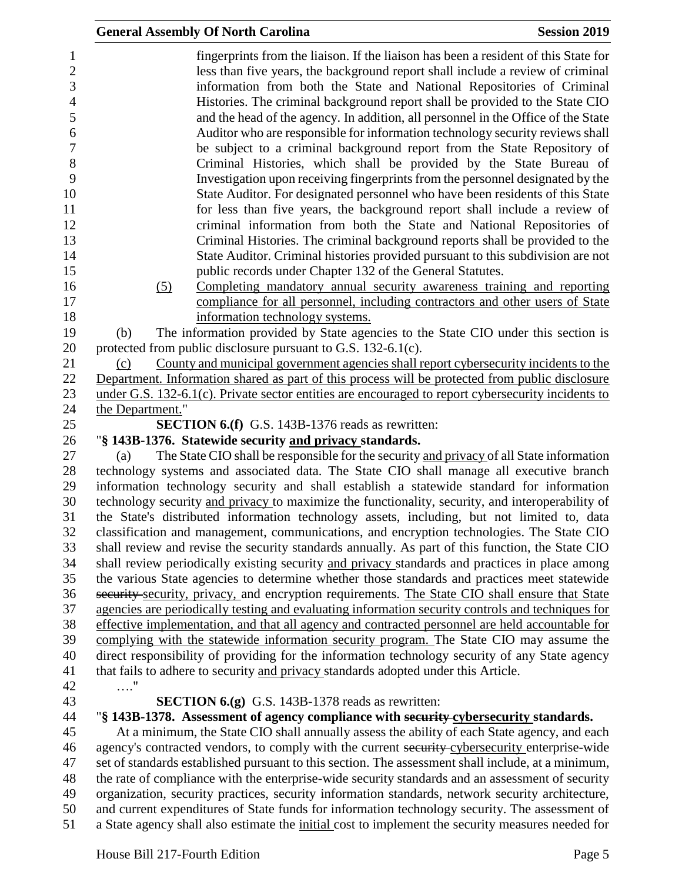|                                                                                                                        | <b>General Assembly Of North Carolina</b>                                                                                                                                                                                                                                                                                                                                                                                                                                                                                                                                                                                                                                                                                                                                                                                                                                                                                                                                                                                                                                                                                                         | <b>Session 2019</b> |
|------------------------------------------------------------------------------------------------------------------------|---------------------------------------------------------------------------------------------------------------------------------------------------------------------------------------------------------------------------------------------------------------------------------------------------------------------------------------------------------------------------------------------------------------------------------------------------------------------------------------------------------------------------------------------------------------------------------------------------------------------------------------------------------------------------------------------------------------------------------------------------------------------------------------------------------------------------------------------------------------------------------------------------------------------------------------------------------------------------------------------------------------------------------------------------------------------------------------------------------------------------------------------------|---------------------|
| 1<br>$\boldsymbol{2}$<br>3<br>$\overline{4}$<br>5<br>6<br>$\boldsymbol{7}$<br>$8\,$<br>9<br>10<br>11<br>12<br>13<br>14 | fingerprints from the liaison. If the liaison has been a resident of this State for<br>less than five years, the background report shall include a review of criminal<br>information from both the State and National Repositories of Criminal<br>Histories. The criminal background report shall be provided to the State CIO<br>and the head of the agency. In addition, all personnel in the Office of the State<br>Auditor who are responsible for information technology security reviews shall<br>be subject to a criminal background report from the State Repository of<br>Criminal Histories, which shall be provided by the State Bureau of<br>Investigation upon receiving fingerprints from the personnel designated by the<br>State Auditor. For designated personnel who have been residents of this State<br>for less than five years, the background report shall include a review of<br>criminal information from both the State and National Repositories of<br>Criminal Histories. The criminal background reports shall be provided to the<br>State Auditor. Criminal histories provided pursuant to this subdivision are not |                     |
| 15                                                                                                                     | public records under Chapter 132 of the General Statutes.                                                                                                                                                                                                                                                                                                                                                                                                                                                                                                                                                                                                                                                                                                                                                                                                                                                                                                                                                                                                                                                                                         |                     |
| 16                                                                                                                     | Completing mandatory annual security awareness training and reporting<br>(5)                                                                                                                                                                                                                                                                                                                                                                                                                                                                                                                                                                                                                                                                                                                                                                                                                                                                                                                                                                                                                                                                      |                     |
| 17                                                                                                                     | compliance for all personnel, including contractors and other users of State                                                                                                                                                                                                                                                                                                                                                                                                                                                                                                                                                                                                                                                                                                                                                                                                                                                                                                                                                                                                                                                                      |                     |
| 18                                                                                                                     | information technology systems.                                                                                                                                                                                                                                                                                                                                                                                                                                                                                                                                                                                                                                                                                                                                                                                                                                                                                                                                                                                                                                                                                                                   |                     |
| 19                                                                                                                     | The information provided by State agencies to the State CIO under this section is<br>(b)                                                                                                                                                                                                                                                                                                                                                                                                                                                                                                                                                                                                                                                                                                                                                                                                                                                                                                                                                                                                                                                          |                     |
| 20                                                                                                                     | protected from public disclosure pursuant to G.S. 132-6.1(c).                                                                                                                                                                                                                                                                                                                                                                                                                                                                                                                                                                                                                                                                                                                                                                                                                                                                                                                                                                                                                                                                                     |                     |
| 21                                                                                                                     | County and municipal government agencies shall report cybersecurity incidents to the<br>(c)                                                                                                                                                                                                                                                                                                                                                                                                                                                                                                                                                                                                                                                                                                                                                                                                                                                                                                                                                                                                                                                       |                     |
| 22                                                                                                                     | Department. Information shared as part of this process will be protected from public disclosure                                                                                                                                                                                                                                                                                                                                                                                                                                                                                                                                                                                                                                                                                                                                                                                                                                                                                                                                                                                                                                                   |                     |
| 23<br>24                                                                                                               | under G.S. 132-6.1(c). Private sector entities are encouraged to report cybersecurity incidents to                                                                                                                                                                                                                                                                                                                                                                                                                                                                                                                                                                                                                                                                                                                                                                                                                                                                                                                                                                                                                                                |                     |
| 25                                                                                                                     | the Department."<br><b>SECTION 6.(f)</b> G.S. 143B-1376 reads as rewritten:                                                                                                                                                                                                                                                                                                                                                                                                                                                                                                                                                                                                                                                                                                                                                                                                                                                                                                                                                                                                                                                                       |                     |
| 26                                                                                                                     | "§ 143B-1376. Statewide security and privacy standards.                                                                                                                                                                                                                                                                                                                                                                                                                                                                                                                                                                                                                                                                                                                                                                                                                                                                                                                                                                                                                                                                                           |                     |
| 27                                                                                                                     | The State CIO shall be responsible for the security and privacy of all State information<br>(a)                                                                                                                                                                                                                                                                                                                                                                                                                                                                                                                                                                                                                                                                                                                                                                                                                                                                                                                                                                                                                                                   |                     |
| 28                                                                                                                     | technology systems and associated data. The State CIO shall manage all executive branch                                                                                                                                                                                                                                                                                                                                                                                                                                                                                                                                                                                                                                                                                                                                                                                                                                                                                                                                                                                                                                                           |                     |
| 29                                                                                                                     | information technology security and shall establish a statewide standard for information                                                                                                                                                                                                                                                                                                                                                                                                                                                                                                                                                                                                                                                                                                                                                                                                                                                                                                                                                                                                                                                          |                     |
| 30                                                                                                                     | technology security and privacy to maximize the functionality, security, and interoperability of                                                                                                                                                                                                                                                                                                                                                                                                                                                                                                                                                                                                                                                                                                                                                                                                                                                                                                                                                                                                                                                  |                     |
| 31                                                                                                                     | the State's distributed information technology assets, including, but not limited to, data                                                                                                                                                                                                                                                                                                                                                                                                                                                                                                                                                                                                                                                                                                                                                                                                                                                                                                                                                                                                                                                        |                     |
| 32                                                                                                                     | classification and management, communications, and encryption technologies. The State CIO                                                                                                                                                                                                                                                                                                                                                                                                                                                                                                                                                                                                                                                                                                                                                                                                                                                                                                                                                                                                                                                         |                     |
| 33                                                                                                                     | shall review and revise the security standards annually. As part of this function, the State CIO                                                                                                                                                                                                                                                                                                                                                                                                                                                                                                                                                                                                                                                                                                                                                                                                                                                                                                                                                                                                                                                  |                     |
| 34                                                                                                                     | shall review periodically existing security and privacy standards and practices in place among                                                                                                                                                                                                                                                                                                                                                                                                                                                                                                                                                                                                                                                                                                                                                                                                                                                                                                                                                                                                                                                    |                     |
| 35                                                                                                                     | the various State agencies to determine whether those standards and practices meet statewide                                                                                                                                                                                                                                                                                                                                                                                                                                                                                                                                                                                                                                                                                                                                                                                                                                                                                                                                                                                                                                                      |                     |
| 36                                                                                                                     | security security, privacy, and encryption requirements. The State CIO shall ensure that State                                                                                                                                                                                                                                                                                                                                                                                                                                                                                                                                                                                                                                                                                                                                                                                                                                                                                                                                                                                                                                                    |                     |
| 37<br>38                                                                                                               | agencies are periodically testing and evaluating information security controls and techniques for<br>effective implementation, and that all agency and contracted personnel are held accountable for                                                                                                                                                                                                                                                                                                                                                                                                                                                                                                                                                                                                                                                                                                                                                                                                                                                                                                                                              |                     |
| 39                                                                                                                     | complying with the statewide information security program. The State CIO may assume the                                                                                                                                                                                                                                                                                                                                                                                                                                                                                                                                                                                                                                                                                                                                                                                                                                                                                                                                                                                                                                                           |                     |
| 40                                                                                                                     | direct responsibility of providing for the information technology security of any State agency                                                                                                                                                                                                                                                                                                                                                                                                                                                                                                                                                                                                                                                                                                                                                                                                                                                                                                                                                                                                                                                    |                     |
| 41                                                                                                                     | that fails to adhere to security and privacy standards adopted under this Article.                                                                                                                                                                                                                                                                                                                                                                                                                                                                                                                                                                                                                                                                                                                                                                                                                                                                                                                                                                                                                                                                |                     |
| 42                                                                                                                     | . "                                                                                                                                                                                                                                                                                                                                                                                                                                                                                                                                                                                                                                                                                                                                                                                                                                                                                                                                                                                                                                                                                                                                               |                     |
| 43                                                                                                                     | <b>SECTION 6.(g)</b> G.S. 143B-1378 reads as rewritten:                                                                                                                                                                                                                                                                                                                                                                                                                                                                                                                                                                                                                                                                                                                                                                                                                                                                                                                                                                                                                                                                                           |                     |
| 44                                                                                                                     | "§ 143B-1378. Assessment of agency compliance with security cybersecurity standards.                                                                                                                                                                                                                                                                                                                                                                                                                                                                                                                                                                                                                                                                                                                                                                                                                                                                                                                                                                                                                                                              |                     |
| 45                                                                                                                     | At a minimum, the State CIO shall annually assess the ability of each State agency, and each                                                                                                                                                                                                                                                                                                                                                                                                                                                                                                                                                                                                                                                                                                                                                                                                                                                                                                                                                                                                                                                      |                     |
| 46                                                                                                                     | agency's contracted vendors, to comply with the current security cybersecurity enterprise-wide                                                                                                                                                                                                                                                                                                                                                                                                                                                                                                                                                                                                                                                                                                                                                                                                                                                                                                                                                                                                                                                    |                     |
| 47                                                                                                                     | set of standards established pursuant to this section. The assessment shall include, at a minimum,                                                                                                                                                                                                                                                                                                                                                                                                                                                                                                                                                                                                                                                                                                                                                                                                                                                                                                                                                                                                                                                |                     |
| 48                                                                                                                     | the rate of compliance with the enterprise-wide security standards and an assessment of security                                                                                                                                                                                                                                                                                                                                                                                                                                                                                                                                                                                                                                                                                                                                                                                                                                                                                                                                                                                                                                                  |                     |
| 49                                                                                                                     | organization, security practices, security information standards, network security architecture,                                                                                                                                                                                                                                                                                                                                                                                                                                                                                                                                                                                                                                                                                                                                                                                                                                                                                                                                                                                                                                                  |                     |
| 50                                                                                                                     | and current expenditures of State funds for information technology security. The assessment of                                                                                                                                                                                                                                                                                                                                                                                                                                                                                                                                                                                                                                                                                                                                                                                                                                                                                                                                                                                                                                                    |                     |
| 51                                                                                                                     | a State agency shall also estimate the initial cost to implement the security measures needed for                                                                                                                                                                                                                                                                                                                                                                                                                                                                                                                                                                                                                                                                                                                                                                                                                                                                                                                                                                                                                                                 |                     |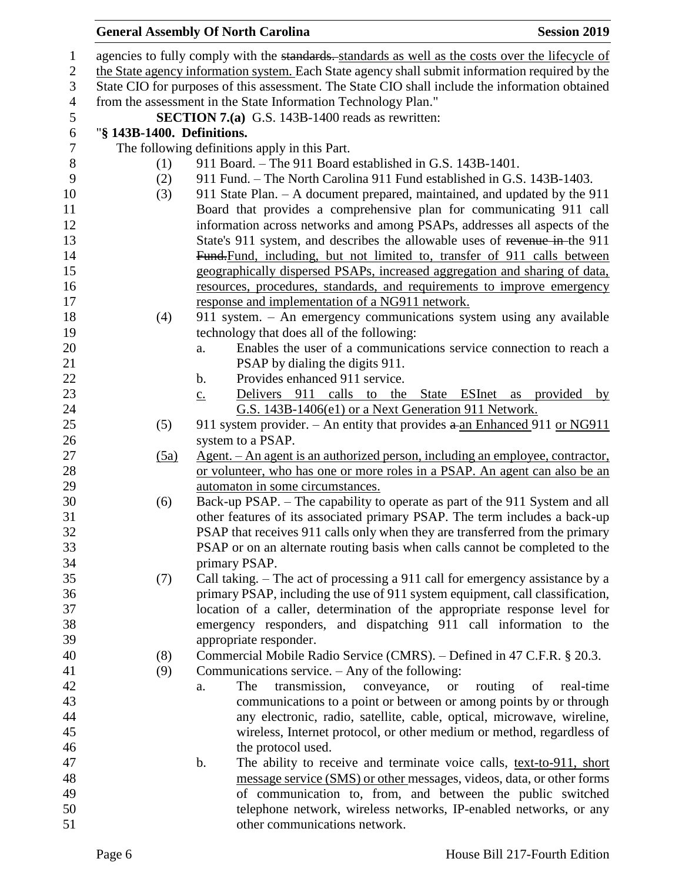# **General Assembly Of North Carolina Session 2019**

| $\mathbf{1}$   |                            | agencies to fully comply with the standards. standards as well as the costs over the lifecycle of |
|----------------|----------------------------|---------------------------------------------------------------------------------------------------|
| $\mathbf{2}$   |                            | the State agency information system. Each State agency shall submit information required by the   |
| $\mathfrak{Z}$ |                            | State CIO for purposes of this assessment. The State CIO shall include the information obtained   |
| $\overline{4}$ |                            | from the assessment in the State Information Technology Plan."                                    |
| $\sqrt{5}$     |                            | <b>SECTION 7.(a)</b> G.S. 143B-1400 reads as rewritten:                                           |
| $\sqrt{6}$     | "§ 143B-1400. Definitions. |                                                                                                   |
| $\tau$         |                            | The following definitions apply in this Part.                                                     |
| 8              | (1)                        | 911 Board. - The 911 Board established in G.S. 143B-1401.                                         |
| 9              | (2)                        | 911 Fund. – The North Carolina 911 Fund established in G.S. 143B-1403.                            |
| 10             | (3)                        | 911 State Plan. - A document prepared, maintained, and updated by the 911                         |
| 11             |                            | Board that provides a comprehensive plan for communicating 911 call                               |
| 12             |                            | information across networks and among PSAPs, addresses all aspects of the                         |
| 13             |                            | State's 911 system, and describes the allowable uses of revenue in-the 911                        |
| 14             |                            | Fund-Fund, including, but not limited to, transfer of 911 calls between                           |
| 15             |                            | geographically dispersed PSAPs, increased aggregation and sharing of data,                        |
| 16             |                            | resources, procedures, standards, and requirements to improve emergency                           |
| 17             |                            | response and implementation of a NG911 network.                                                   |
| 18             | (4)                        | 911 system. - An emergency communications system using any available                              |
| 19             |                            | technology that does all of the following:                                                        |
| 20             |                            | Enables the user of a communications service connection to reach a<br>a.                          |
| 21             |                            | PSAP by dialing the digits 911.                                                                   |
| 22             |                            | Provides enhanced 911 service.<br>$\mathbf b$ .                                                   |
| 23             |                            | Delivers 911 calls to the State ESInet as provided by<br>$\underline{c}$ .                        |
| 24             |                            | G.S. 143B-1406(e1) or a Next Generation 911 Network.                                              |
| 25             | (5)                        | 911 system provider. – An entity that provides $a$ -an Enhanced 911 or NG911                      |
| 26             |                            | system to a PSAP.                                                                                 |
| 27             | (5a)                       | Agent. – An agent is an authorized person, including an employee, contractor,                     |
| 28             |                            | or volunteer, who has one or more roles in a PSAP. An agent can also be an                        |
| 29             |                            | automaton in some circumstances.                                                                  |
| 30             | (6)                        | Back-up PSAP. – The capability to operate as part of the 911 System and all                       |
| 31             |                            | other features of its associated primary PSAP. The term includes a back-up                        |
| 32             |                            | PSAP that receives 911 calls only when they are transferred from the primary                      |
| 33             |                            | PSAP or on an alternate routing basis when calls cannot be completed to the                       |
| 34             |                            | primary PSAP.                                                                                     |
| 35             | (7)                        | Call taking. – The act of processing a 911 call for emergency assistance by a                     |
| 36             |                            | primary PSAP, including the use of 911 system equipment, call classification,                     |
| 37             |                            | location of a caller, determination of the appropriate response level for                         |
| 38             |                            | emergency responders, and dispatching 911 call information to the                                 |
| 39             |                            | appropriate responder.                                                                            |
| 40             | (8)                        | Commercial Mobile Radio Service (CMRS). - Defined in 47 C.F.R. § 20.3.                            |
| 41             | (9)                        | Communications service. $-$ Any of the following:                                                 |
| 42             |                            | transmission,<br>routing<br>The<br>conveyance,<br>of<br>real-time<br><b>or</b><br>a.              |
| 43             |                            | communications to a point or between or among points by or through                                |
| 44             |                            | any electronic, radio, satellite, cable, optical, microwave, wireline,                            |
| 45             |                            | wireless, Internet protocol, or other medium or method, regardless of                             |
| 46             |                            | the protocol used.                                                                                |
| 47             |                            | b.<br>The ability to receive and terminate voice calls, text-to-911, short                        |
| 48             |                            | message service (SMS) or other messages, videos, data, or other forms                             |
| 49             |                            | of communication to, from, and between the public switched                                        |
| 50             |                            | telephone network, wireless networks, IP-enabled networks, or any                                 |
| 51             |                            | other communications network.                                                                     |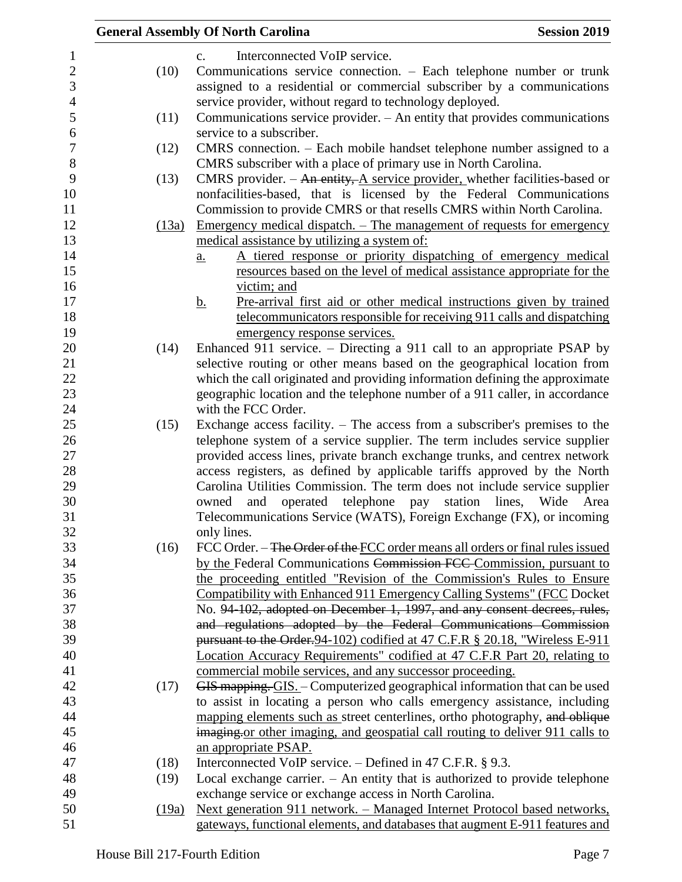|       | <b>General Assembly Of North Carolina</b><br><b>Session 2019</b>                    |
|-------|-------------------------------------------------------------------------------------|
|       | Interconnected VoIP service.<br>C <sub>1</sub>                                      |
| (10)  | Communications service connection. - Each telephone number or trunk                 |
|       | assigned to a residential or commercial subscriber by a communications              |
|       | service provider, without regard to technology deployed.                            |
| (11)  | Communications service provider. $-$ An entity that provides communications         |
|       | service to a subscriber.                                                            |
| (12)  | CMRS connection. – Each mobile handset telephone number assigned to a               |
|       | CMRS subscriber with a place of primary use in North Carolina.                      |
| (13)  | CMRS provider. $-$ An entity, A service provider, whether facilities-based or       |
|       | nonfacilities-based, that is licensed by the Federal Communications                 |
|       | Commission to provide CMRS or that resells CMRS within North Carolina.              |
| (13a) | <u>Emergency medical dispatch. – The management of requests for emergency</u>       |
|       | medical assistance by utilizing a system of:                                        |
|       | A tiered response or priority dispatching of emergency medical<br>$\underline{a}$ . |
|       | resources based on the level of medical assistance appropriate for the              |
|       | victim; and                                                                         |
|       | Pre-arrival first aid or other medical instructions given by trained<br><u>b.</u>   |
|       | telecommunicators responsible for receiving 911 calls and dispatching               |
|       | emergency response services.                                                        |
| (14)  | Enhanced 911 service. – Directing a 911 call to an appropriate PSAP by              |
|       | selective routing or other means based on the geographical location from            |
|       | which the call originated and providing information defining the approximate        |
|       | geographic location and the telephone number of a 911 caller, in accordance         |
|       | with the FCC Order.                                                                 |
| (15)  | Exchange access facility. $-$ The access from a subscriber's premises to the        |
|       | telephone system of a service supplier. The term includes service supplier          |
|       | provided access lines, private branch exchange trunks, and centrex network          |
|       | access registers, as defined by applicable tariffs approved by the North            |
|       | Carolina Utilities Commission. The term does not include service supplier           |
|       | operated telephone pay<br>station<br>lines, Wide<br>owned<br>and<br>Area            |
|       | Telecommunications Service (WATS), Foreign Exchange (FX), or incoming               |
|       | only lines.                                                                         |
| (16)  | FCC Order. - The Order of the FCC order means all orders or final rules issued      |
|       | by the Federal Communications Commission FCC Commission, pursuant to                |
|       | the proceeding entitled "Revision of the Commission's Rules to Ensure               |
|       | Compatibility with Enhanced 911 Emergency Calling Systems" (FCC Docket              |
|       | No. 94-102, adopted on December 1, 1997, and any consent decrees, rules,            |
|       | and regulations adopted by the Federal Communications Commission                    |
|       | pursuant to the Order. 94-102) codified at 47 C.F.R § 20.18, "Wireless E-911        |
|       | Location Accuracy Requirements" codified at 47 C.F.R Part 20, relating to           |
|       | commercial mobile services, and any successor proceeding.                           |
| (17)  | GIS mapping. GIS .- Computerized geographical information that can be used          |
|       | to assist in locating a person who calls emergency assistance, including            |
|       | mapping elements such as street centerlines, ortho photography, and oblique         |
|       | imaging or other imaging, and geospatial call routing to deliver 911 calls to       |
|       | an appropriate PSAP.                                                                |
| (18)  | Interconnected VoIP service. $-$ Defined in 47 C.F.R. § 9.3.                        |
| (19)  | Local exchange carrier. $-$ An entity that is authorized to provide telephone       |
|       | exchange service or exchange access in North Carolina.                              |
| (19a) | Next generation 911 network. – Managed Internet Protocol based networks,            |
|       | gateways, functional elements, and databases that augment E-911 features and        |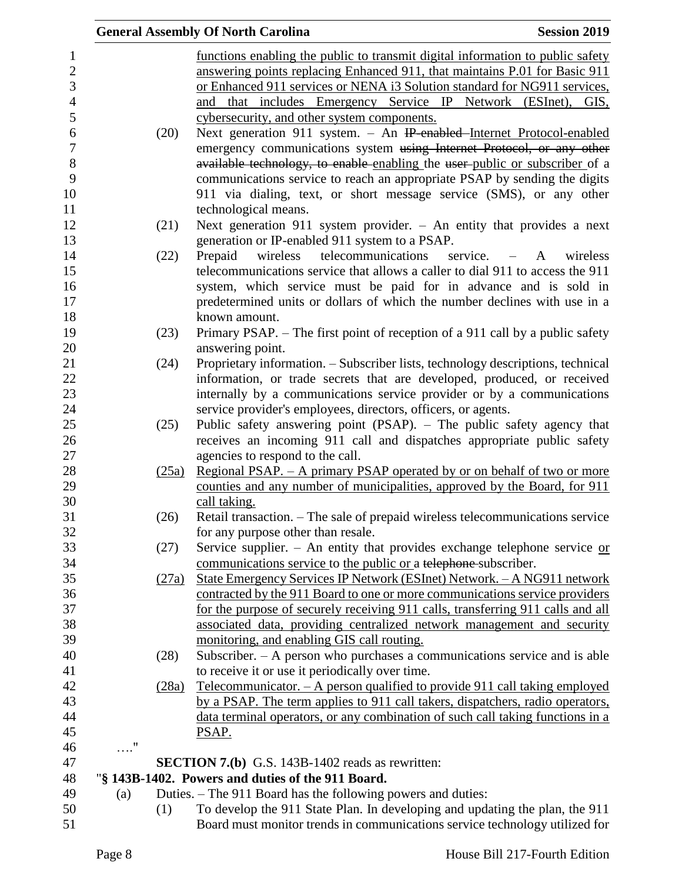|                |            |       | <b>General Assembly Of North Carolina</b>                                                     | <b>Session 2019</b> |
|----------------|------------|-------|-----------------------------------------------------------------------------------------------|---------------------|
| $\mathbf{1}$   |            |       | functions enabling the public to transmit digital information to public safety                |                     |
| $\overline{2}$ |            |       | answering points replacing Enhanced 911, that maintains P.01 for Basic 911                    |                     |
| 3              |            |       | or Enhanced 911 services or NENA i3 Solution standard for NG911 services,                     |                     |
| $\overline{4}$ |            |       | and that includes Emergency Service IP Network (ESInet), GIS,                                 |                     |
| 5              |            |       | cybersecurity, and other system components.                                                   |                     |
| 6              |            | (20)  | Next generation 911 system. - An IP-enabled-Internet Protocol-enabled                         |                     |
| $\overline{7}$ |            |       | emergency communications system using Internet Protocol, or any other                         |                     |
| 8              |            |       | available technology, to enable enabling the user-public or subscriber of a                   |                     |
| 9              |            |       | communications service to reach an appropriate PSAP by sending the digits                     |                     |
| 10             |            |       | 911 via dialing, text, or short message service (SMS), or any other                           |                     |
| 11             |            |       | technological means.                                                                          |                     |
| 12             |            | (21)  | Next generation 911 system provider. $-$ An entity that provides a next                       |                     |
| 13             |            |       | generation or IP-enabled 911 system to a PSAP.                                                |                     |
| 14             |            | (22)  | wireless telecommunications<br>Prepaid<br>service. $- A$                                      | wireless            |
| 15             |            |       | telecommunications service that allows a caller to dial 911 to access the 911                 |                     |
| 16             |            |       | system, which service must be paid for in advance and is sold in                              |                     |
| 17             |            |       | predetermined units or dollars of which the number declines with use in a                     |                     |
| 18             |            |       | known amount.                                                                                 |                     |
| 19             |            | (23)  | Primary PSAP. – The first point of reception of a 911 call by a public safety                 |                     |
| 20             |            |       | answering point.                                                                              |                     |
| 21             |            | (24)  | Proprietary information. - Subscriber lists, technology descriptions, technical               |                     |
| 22             |            |       | information, or trade secrets that are developed, produced, or received                       |                     |
| 23             |            |       | internally by a communications service provider or by a communications                        |                     |
| 24             |            |       | service provider's employees, directors, officers, or agents.                                 |                     |
| 25             |            | (25)  | Public safety answering point (PSAP). - The public safety agency that                         |                     |
| 26             |            |       | receives an incoming 911 call and dispatches appropriate public safety                        |                     |
| 27             |            |       | agencies to respond to the call.                                                              |                     |
| 28             |            | (25a) | <u>Regional PSAP. – A primary PSAP operated by or on behalf of two or more</u>                |                     |
| 29<br>30       |            |       | counties and any number of municipalities, approved by the Board, for 911                     |                     |
| 31             |            | (26)  | call taking.<br>Retail transaction. - The sale of prepaid wireless telecommunications service |                     |
| 32             |            |       | for any purpose other than resale.                                                            |                     |
| 33             |            | (27)  | Service supplier. - An entity that provides exchange telephone service $or$                   |                     |
| 34             |            |       | communications service to the public or a telephone subscriber.                               |                     |
| 35             |            | (27a) | State Emergency Services IP Network (ESInet) Network. - A NG911 network                       |                     |
| 36             |            |       | contracted by the 911 Board to one or more communications service providers                   |                     |
| 37             |            |       | for the purpose of securely receiving 911 calls, transferring 911 calls and all               |                     |
| 38             |            |       | associated data, providing centralized network management and security                        |                     |
| 39             |            |       | monitoring, and enabling GIS call routing.                                                    |                     |
| 40             |            | (28)  | Subscriber. - A person who purchases a communications service and is able                     |                     |
| 41             |            |       | to receive it or use it periodically over time.                                               |                     |
| 42             |            | (28a) | Telecommunicator. $-$ A person qualified to provide 911 call taking employed                  |                     |
| 43             |            |       | by a PSAP. The term applies to 911 call takers, dispatchers, radio operators,                 |                     |
| 44             |            |       | data terminal operators, or any combination of such call taking functions in a                |                     |
| 45             |            |       | PSAP.                                                                                         |                     |
| 46             | $\ldots$ " |       |                                                                                               |                     |
| 47             |            |       | <b>SECTION 7.(b)</b> G.S. 143B-1402 reads as rewritten:                                       |                     |
| 48             |            |       | "§ 143B-1402. Powers and duties of the 911 Board.                                             |                     |
| 49             | (a)        |       | Duties. – The 911 Board has the following powers and duties:                                  |                     |
| 50             |            | (1)   | To develop the 911 State Plan. In developing and updating the plan, the 911                   |                     |
| 51             |            |       | Board must monitor trends in communications service technology utilized for                   |                     |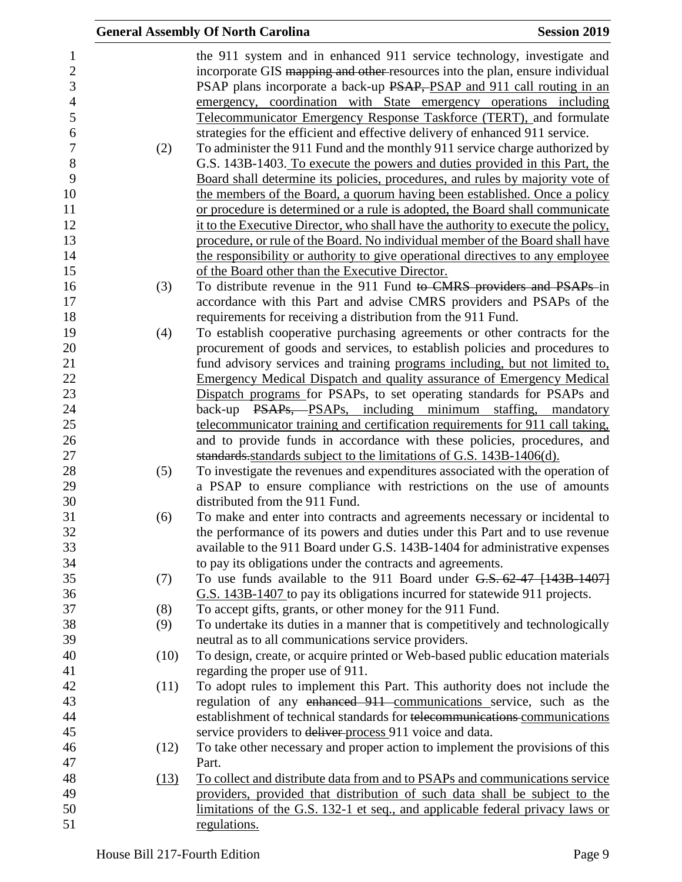|      | <b>General Assembly Of North Carolina</b><br><b>Session 2019</b>                  |  |
|------|-----------------------------------------------------------------------------------|--|
|      | the 911 system and in enhanced 911 service technology, investigate and            |  |
|      | incorporate GIS mapping and other resources into the plan, ensure individual      |  |
|      | PSAP plans incorporate a back-up PSAP, PSAP and 911 call routing in an            |  |
|      | emergency, coordination with State emergency operations including                 |  |
|      | Telecommunicator Emergency Response Taskforce (TERT), and formulate               |  |
|      | strategies for the efficient and effective delivery of enhanced 911 service.      |  |
| (2)  | To administer the 911 Fund and the monthly 911 service charge authorized by       |  |
|      | G.S. 143B-1403. To execute the powers and duties provided in this Part, the       |  |
|      | Board shall determine its policies, procedures, and rules by majority vote of     |  |
|      | the members of the Board, a quorum having been established. Once a policy         |  |
|      | or procedure is determined or a rule is adopted, the Board shall communicate      |  |
|      | it to the Executive Director, who shall have the authority to execute the policy, |  |
|      | procedure, or rule of the Board. No individual member of the Board shall have     |  |
|      | the responsibility or authority to give operational directives to any employee    |  |
|      | of the Board other than the Executive Director.                                   |  |
| (3)  | To distribute revenue in the 911 Fund to CMRS providers and PSAPs in              |  |
|      | accordance with this Part and advise CMRS providers and PSAPs of the              |  |
|      | requirements for receiving a distribution from the 911 Fund.                      |  |
| (4)  | To establish cooperative purchasing agreements or other contracts for the         |  |
|      | procurement of goods and services, to establish policies and procedures to        |  |
|      | fund advisory services and training programs including, but not limited to,       |  |
|      | <b>Emergency Medical Dispatch and quality assurance of Emergency Medical</b>      |  |
|      | Dispatch programs for PSAPs, to set operating standards for PSAPs and             |  |
|      | back-up PSAPs, PSAPs, including minimum staffing, mandatory                       |  |
|      | telecommunicator training and certification requirements for 911 call taking,     |  |
|      | and to provide funds in accordance with these policies, procedures, and           |  |
|      | standards standards subject to the limitations of G.S. 143B-1406(d).              |  |
| (5)  | To investigate the revenues and expenditures associated with the operation of     |  |
|      | a PSAP to ensure compliance with restrictions on the use of amounts               |  |
|      | distributed from the 911 Fund.                                                    |  |
| (6)  | To make and enter into contracts and agreements necessary or incidental to        |  |
|      | the performance of its powers and duties under this Part and to use revenue       |  |
|      | available to the 911 Board under G.S. 143B-1404 for administrative expenses       |  |
|      | to pay its obligations under the contracts and agreements.                        |  |
| (7)  | To use funds available to the 911 Board under $G.S. 62-47$ [143B-1407]            |  |
|      | G.S. 143B-1407 to pay its obligations incurred for statewide 911 projects.        |  |
| (8)  | To accept gifts, grants, or other money for the 911 Fund.                         |  |
| (9)  | To undertake its duties in a manner that is competitively and technologically     |  |
|      | neutral as to all communications service providers.                               |  |
| (10) | To design, create, or acquire printed or Web-based public education materials     |  |
|      | regarding the proper use of 911.                                                  |  |
| (11) | To adopt rules to implement this Part. This authority does not include the        |  |
|      | regulation of any enhanced 911 communications service, such as the                |  |
|      | establishment of technical standards for telecommunications communications        |  |
|      | service providers to deliver process 911 voice and data.                          |  |
| (12) | To take other necessary and proper action to implement the provisions of this     |  |
|      | Part.                                                                             |  |
| (13) | To collect and distribute data from and to PSAPs and communications service       |  |
|      | providers, provided that distribution of such data shall be subject to the        |  |
|      | limitations of the G.S. 132-1 et seq., and applicable federal privacy laws or     |  |
|      | regulations.                                                                      |  |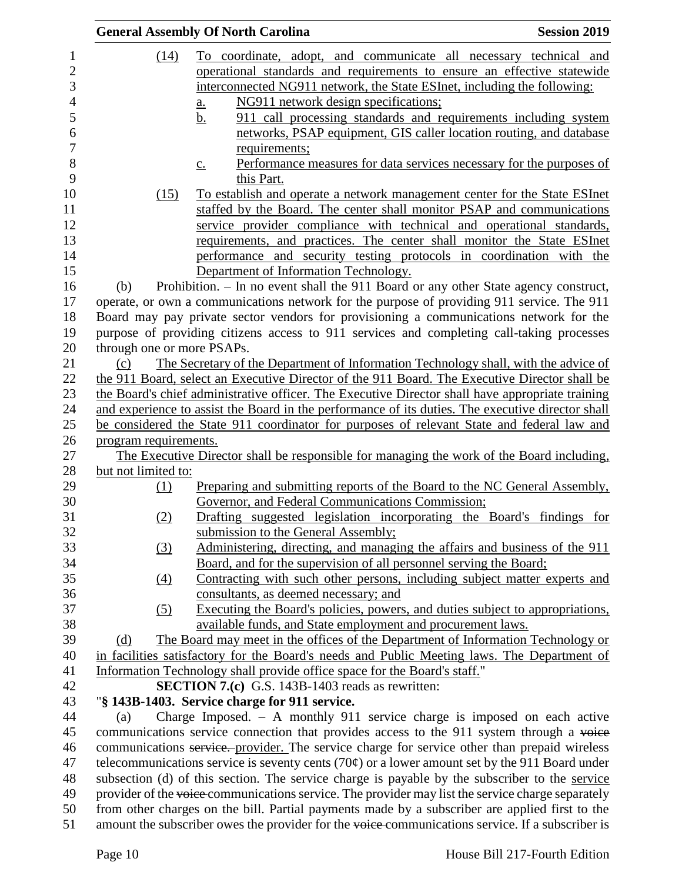|                            | <b>General Assembly Of North Carolina</b><br><b>Session 2019</b>                                                                                                                                         |
|----------------------------|----------------------------------------------------------------------------------------------------------------------------------------------------------------------------------------------------------|
| (14)                       | To coordinate, adopt, and communicate all necessary technical and                                                                                                                                        |
|                            | operational standards and requirements to ensure an effective statewide                                                                                                                                  |
|                            | interconnected NG911 network, the State ESInet, including the following:                                                                                                                                 |
|                            | NG911 network design specifications;<br>$\underline{a}$ .                                                                                                                                                |
|                            | 911 call processing standards and requirements including system<br><u>b.</u>                                                                                                                             |
|                            | networks, PSAP equipment, GIS caller location routing, and database                                                                                                                                      |
|                            | requirements;                                                                                                                                                                                            |
|                            | Performance measures for data services necessary for the purposes of<br>$\underline{c}$ .                                                                                                                |
|                            | this Part.                                                                                                                                                                                               |
| (15)                       | To establish and operate a network management center for the State ESInet                                                                                                                                |
|                            | staffed by the Board. The center shall monitor PSAP and communications                                                                                                                                   |
|                            | service provider compliance with technical and operational standards,                                                                                                                                    |
|                            | requirements, and practices. The center shall monitor the State ESInet                                                                                                                                   |
|                            | performance and security testing protocols in coordination with the                                                                                                                                      |
|                            | Department of Information Technology.                                                                                                                                                                    |
| (b)                        | Prohibition. - In no event shall the 911 Board or any other State agency construct,                                                                                                                      |
|                            | operate, or own a communications network for the purpose of providing 911 service. The 911                                                                                                               |
|                            | Board may pay private sector vendors for provisioning a communications network for the                                                                                                                   |
|                            | purpose of providing citizens access to 911 services and completing call-taking processes                                                                                                                |
| through one or more PSAPs. |                                                                                                                                                                                                          |
| (c)                        | The Secretary of the Department of Information Technology shall, with the advice of                                                                                                                      |
|                            | the 911 Board, select an Executive Director of the 911 Board. The Executive Director shall be                                                                                                            |
|                            | the Board's chief administrative officer. The Executive Director shall have appropriate training                                                                                                         |
|                            | and experience to assist the Board in the performance of its duties. The executive director shall                                                                                                        |
|                            | be considered the State 911 coordinator for purposes of relevant State and federal law and                                                                                                               |
| program requirements.      |                                                                                                                                                                                                          |
|                            | The Executive Director shall be responsible for managing the work of the Board including,                                                                                                                |
| but not limited to:        |                                                                                                                                                                                                          |
| (1)                        | Preparing and submitting reports of the Board to the NC General Assembly,                                                                                                                                |
|                            | Governor, and Federal Communications Commission;                                                                                                                                                         |
| (2)                        | Drafting suggested legislation incorporating the Board's findings for                                                                                                                                    |
|                            | submission to the General Assembly;                                                                                                                                                                      |
| $\left(3\right)$           | Administering, directing, and managing the affairs and business of the 911                                                                                                                               |
|                            | Board, and for the supervision of all personnel serving the Board;                                                                                                                                       |
| $\left(4\right)$           | Contracting with such other persons, including subject matter experts and                                                                                                                                |
|                            | consultants, as deemed necessary; and                                                                                                                                                                    |
| (5)                        | Executing the Board's policies, powers, and duties subject to appropriations,                                                                                                                            |
|                            | available funds, and State employment and procurement laws.                                                                                                                                              |
| (d)                        | The Board may meet in the offices of the Department of Information Technology or                                                                                                                         |
|                            | in facilities satisfactory for the Board's needs and Public Meeting laws. The Department of                                                                                                              |
|                            | Information Technology shall provide office space for the Board's staff."                                                                                                                                |
|                            | <b>SECTION 7.(c)</b> G.S. 143B-1403 reads as rewritten:                                                                                                                                                  |
|                            | "§ 143B-1403. Service charge for 911 service.                                                                                                                                                            |
| (a)                        | Charge Imposed. $-$ A monthly 911 service charge is imposed on each active                                                                                                                               |
|                            | communications service connection that provides access to the 911 system through a voice                                                                                                                 |
|                            | communications service. provider. The service charge for service other than prepaid wireless<br>telecommunications service is seventy cents (70 $\varphi$ ) or a lower amount set by the 911 Board under |
|                            | subsection (d) of this section. The service charge is payable by the subscriber to the service                                                                                                           |
|                            | provider of the voice communications service. The provider may list the service charge separately                                                                                                        |
|                            | from other charges on the bill. Partial payments made by a subscriber are applied first to the                                                                                                           |
|                            | amount the subscriber owes the provider for the voice-communications service. If a subscriber is                                                                                                         |
|                            |                                                                                                                                                                                                          |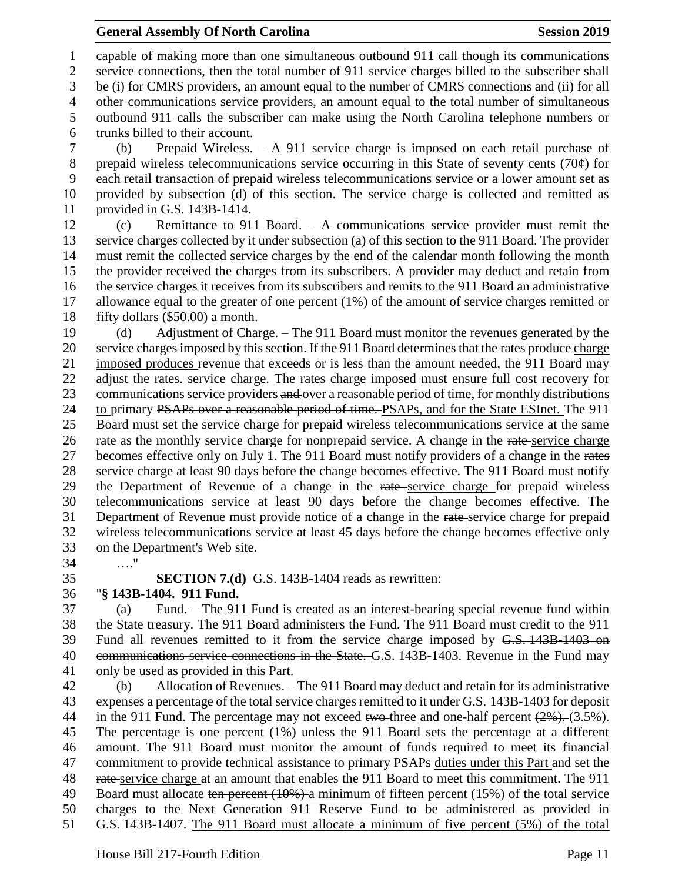#### **General Assembly Of North Carolina Session 2019 Session 2019**

 capable of making more than one simultaneous outbound 911 call though its communications service connections, then the total number of 911 service charges billed to the subscriber shall be (i) for CMRS providers, an amount equal to the number of CMRS connections and (ii) for all other communications service providers, an amount equal to the total number of simultaneous outbound 911 calls the subscriber can make using the North Carolina telephone numbers or trunks billed to their account.

 (b) Prepaid Wireless. – A 911 service charge is imposed on each retail purchase of prepaid wireless telecommunications service occurring in this State of seventy cents (70¢) for each retail transaction of prepaid wireless telecommunications service or a lower amount set as provided by subsection (d) of this section. The service charge is collected and remitted as provided in G.S. 143B-1414.

 (c) Remittance to 911 Board. – A communications service provider must remit the service charges collected by it under subsection (a) of this section to the 911 Board. The provider must remit the collected service charges by the end of the calendar month following the month the provider received the charges from its subscribers. A provider may deduct and retain from the service charges it receives from its subscribers and remits to the 911 Board an administrative allowance equal to the greater of one percent (1%) of the amount of service charges remitted or fifty dollars (\$50.00) a month.

 (d) Adjustment of Charge. – The 911 Board must monitor the revenues generated by the 20 service charges imposed by this section. If the 911 Board determines that the rates produce charge imposed produces revenue that exceeds or is less than the amount needed, the 911 Board may 22 adjust the rates. service charge. The rates charge imposed must ensure full cost recovery for 23 communications service providers and over a reasonable period of time, for monthly distributions 24 to primary PSAPs over a reasonable period of time. PSAPs, and for the State ESInet. The 911 Board must set the service charge for prepaid wireless telecommunications service at the same 26 rate as the monthly service charge for nonprepaid service. A change in the rate-service charge 27 becomes effective only on July 1. The 911 Board must notify providers of a change in the rates 28 service charge at least 90 days before the change becomes effective. The 911 Board must notify 29 the Department of Revenue of a change in the rate service charge for prepaid wireless telecommunications service at least 90 days before the change becomes effective. The Department of Revenue must provide notice of a change in the rate service charge for prepaid wireless telecommunications service at least 45 days before the change becomes effective only on the Department's Web site.

…."

**SECTION 7.(d)** G.S. 143B-1404 reads as rewritten:

## "**§ 143B-1404. 911 Fund.**

 (a) Fund. – The 911 Fund is created as an interest-bearing special revenue fund within the State treasury. The 911 Board administers the Fund. The 911 Board must credit to the 911 Fund all revenues remitted to it from the service charge imposed by G.S. 143B-1403 on 40 communications service connections in the State. G.S. 143B-1403. Revenue in the Fund may only be used as provided in this Part.

 (b) Allocation of Revenues. – The 911 Board may deduct and retain for its administrative expenses a percentage of the total service charges remitted to it under G.S. 143B-1403 for deposit 44 in the 911 Fund. The percentage may not exceed two-three and one-half percent  $(2\%)$ . (3.5%). The percentage is one percent (1%) unless the 911 Board sets the percentage at a different amount. The 911 Board must monitor the amount of funds required to meet its financial 47 commitment to provide technical assistance to primary PSAPs duties under this Part and set the 48 rate service charge at an amount that enables the 911 Board to meet this commitment. The 911 49 Board must allocate ten percent (10%) a minimum of fifteen percent (15%) of the total service charges to the Next Generation 911 Reserve Fund to be administered as provided in G.S. 143B-1407. The 911 Board must allocate a minimum of five percent (5%) of the total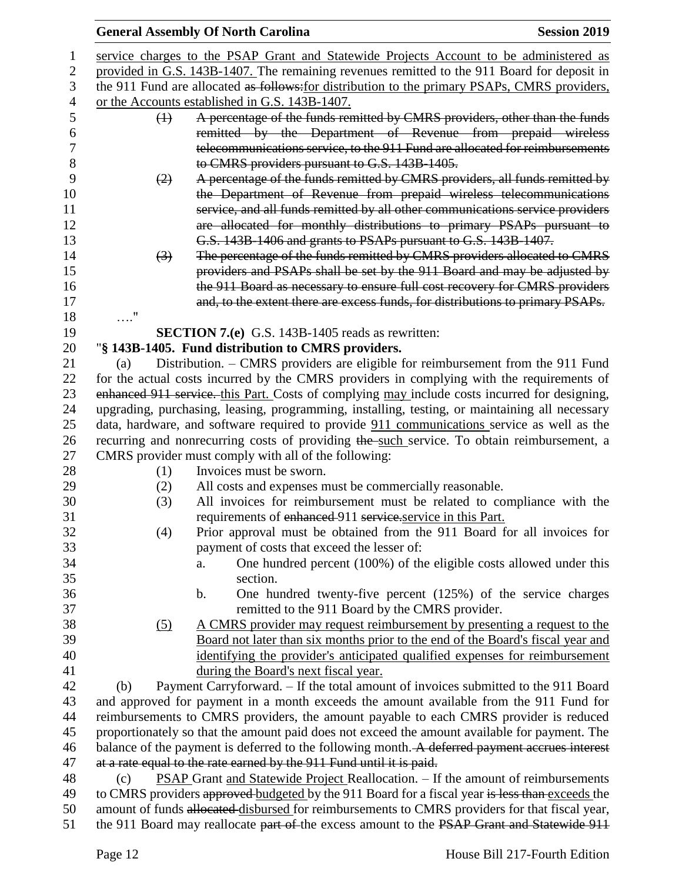|                |                   | <b>General Assembly Of North Carolina</b>                                                       | <b>Session 2019</b> |
|----------------|-------------------|-------------------------------------------------------------------------------------------------|---------------------|
| 1              |                   | service charges to the PSAP Grant and Statewide Projects Account to be administered as          |                     |
| $\overline{2}$ |                   | provided in G.S. 143B-1407. The remaining revenues remitted to the 911 Board for deposit in     |                     |
| 3              |                   | the 911 Fund are allocated as follows: for distribution to the primary PSAPs, CMRS providers,   |                     |
| 4              |                   | or the Accounts established in G.S. 143B-1407.                                                  |                     |
| 5              | $\leftrightarrow$ | A percentage of the funds remitted by CMRS providers, other than the funds                      |                     |
| 6              |                   | remitted by the Department of Revenue from prepaid wireless                                     |                     |
| 7              |                   | telecommunications service, to the 911 Fund are allocated for reimbursements                    |                     |
| 8              |                   | to CMRS providers pursuant to G.S. 143B-1405.                                                   |                     |
| 9              | (2)               | A percentage of the funds remitted by CMRS providers, all funds remitted by                     |                     |
| 10             |                   | the Department of Revenue from prepaid wireless telecommunications                              |                     |
| 11             |                   | service, and all funds remitted by all other communications service providers                   |                     |
| 12             |                   | are allocated for monthly distributions to primary PSAPs pursuant to                            |                     |
| 13             |                   | G.S. 143B-1406 and grants to PSAPs pursuant to G.S. 143B-1407.                                  |                     |
| 14             | $\left(3\right)$  | The percentage of the funds remitted by CMRS providers allocated to CMRS                        |                     |
| 15             |                   | providers and PSAPs shall be set by the 911 Board and may be adjusted by                        |                     |
| 16             |                   | the 911 Board as necessary to ensure full cost recovery for CMRS providers                      |                     |
| 17             |                   | and, to the extent there are excess funds, for distributions to primary PSAPs.                  |                     |
| 18             | $\ldots$ "        |                                                                                                 |                     |
| 19             |                   | <b>SECTION 7.(e)</b> G.S. 143B-1405 reads as rewritten:                                         |                     |
| 20             |                   | "§ 143B-1405. Fund distribution to CMRS providers.                                              |                     |
| 21             | (a)               | Distribution. - CMRS providers are eligible for reimbursement from the 911 Fund                 |                     |
| 22             |                   | for the actual costs incurred by the CMRS providers in complying with the requirements of       |                     |
| 23             |                   | enhanced 911 service. this Part. Costs of complying may include costs incurred for designing,   |                     |
| 24             |                   | upgrading, purchasing, leasing, programming, installing, testing, or maintaining all necessary  |                     |
| 25             |                   | data, hardware, and software required to provide 911 communications service as well as the      |                     |
| 26             |                   | recurring and nonrecurring costs of providing the such service. To obtain reimbursement, a      |                     |
| 27             |                   | CMRS provider must comply with all of the following:                                            |                     |
| 28             | (1)               | Invoices must be sworn.                                                                         |                     |
| 29             | (2)               | All costs and expenses must be commercially reasonable.                                         |                     |
| 30             | (3)               | All invoices for reimbursement must be related to compliance with the                           |                     |
| 31             |                   | requirements of enhanced 911 service.service in this Part.                                      |                     |
| 32             | (4)               | Prior approval must be obtained from the 911 Board for all invoices for                         |                     |
| 33             |                   | payment of costs that exceed the lesser of:                                                     |                     |
| 34             |                   | One hundred percent (100%) of the eligible costs allowed under this<br>a.                       |                     |
| 35             |                   | section.                                                                                        |                     |
| 36             |                   | One hundred twenty-five percent $(125%)$ of the service charges<br>b.                           |                     |
| 37             |                   | remitted to the 911 Board by the CMRS provider.                                                 |                     |
| 38             | (5)               | <u>A CMRS provider may request reimbursement by presenting a request to the</u>                 |                     |
| 39             |                   | Board not later than six months prior to the end of the Board's fiscal year and                 |                     |
| 40             |                   | identifying the provider's anticipated qualified expenses for reimbursement                     |                     |
| 41             |                   | during the Board's next fiscal year.                                                            |                     |
| 42             | (b)               | Payment Carryforward. - If the total amount of invoices submitted to the 911 Board              |                     |
| 43             |                   | and approved for payment in a month exceeds the amount available from the 911 Fund for          |                     |
| 44             |                   | reimbursements to CMRS providers, the amount payable to each CMRS provider is reduced           |                     |
| 45             |                   | proportionately so that the amount paid does not exceed the amount available for payment. The   |                     |
| 46             |                   | balance of the payment is deferred to the following month. A deferred payment accrues interest  |                     |
| 47             |                   | at a rate equal to the rate earned by the 911 Fund until it is paid.                            |                     |
| 48             | (c)               | <b>PSAP Grant and Statewide Project Reallocation.</b> – If the amount of reimbursements         |                     |
| 49             |                   | to CMRS providers approved budgeted by the 911 Board for a fiscal year is less than exceeds the |                     |
| 50             |                   | amount of funds allocated disbursed for reimbursements to CMRS providers for that fiscal year,  |                     |
| 51             |                   | the 911 Board may reallocate part of the excess amount to the PSAP Grant and Statewide 911      |                     |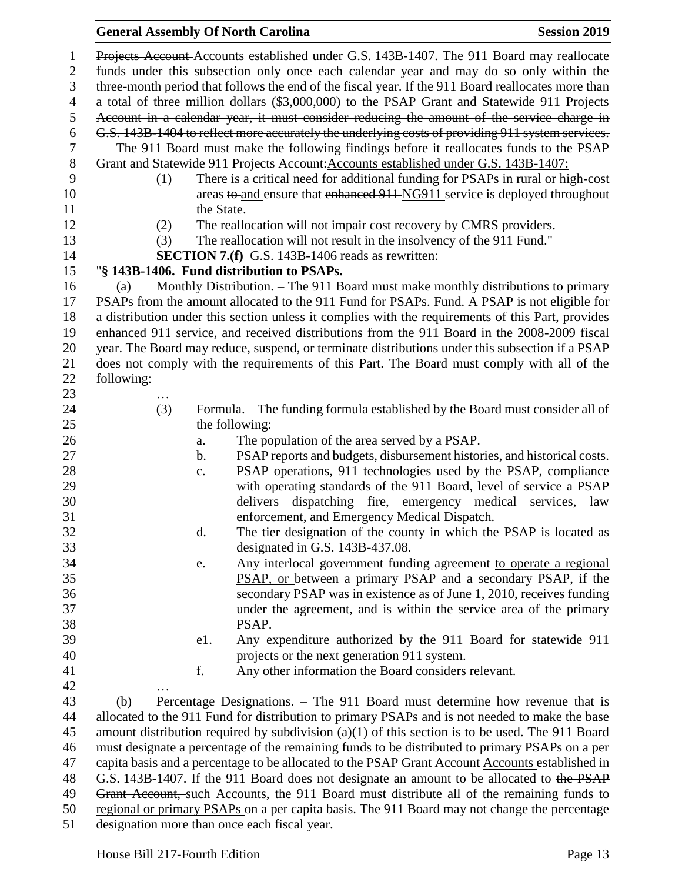## **General Assembly Of North Carolina Session 2019 Session 2019**  Projects Account Accounts established under G.S. 143B-1407. The 911 Board may reallocate funds under this subsection only once each calendar year and may do so only within the 3 three-month period that follows the end of the fiscal year. If the 911 Board reallocates more than a total of three million dollars (\$3,000,000) to the PSAP Grant and Statewide 911 Projects Account in a calendar year, it must consider reducing the amount of the service charge in G.S. 143B-1404 to reflect more accurately the underlying costs of providing 911 system services. The 911 Board must make the following findings before it reallocates funds to the PSAP Grant and Statewide 911 Projects Account:Accounts established under G.S. 143B-1407: (1) There is a critical need for additional funding for PSAPs in rural or high-cost 10 areas to and ensure that enhanced 911 NG911 service is deployed throughout 11 the State. 12 (2) The reallocation will not impair cost recovery by CMRS providers. (3) The reallocation will not result in the insolvency of the 911 Fund." **SECTION 7.(f)** G.S. 143B-1406 reads as rewritten: "**§ 143B-1406. Fund distribution to PSAPs.** (a) Monthly Distribution. – The 911 Board must make monthly distributions to primary 17 PSAPs from the amount allocated to the 911 Fund for PSAPs. Fund. A PSAP is not eligible for a distribution under this section unless it complies with the requirements of this Part, provides enhanced 911 service, and received distributions from the 911 Board in the 2008-2009 fiscal year. The Board may reduce, suspend, or terminate distributions under this subsection if a PSAP does not comply with the requirements of this Part. The Board must comply with all of the following: … (3) Formula. – The funding formula established by the Board must consider all of 25 the following: a. The population of the area served by a PSAP. b. PSAP reports and budgets, disbursement histories, and historical costs. c. PSAP operations, 911 technologies used by the PSAP, compliance with operating standards of the 911 Board, level of service a PSAP delivers dispatching fire, emergency medical services, law enforcement, and Emergency Medical Dispatch. d. The tier designation of the county in which the PSAP is located as designated in G.S. 143B-437.08. e. Any interlocal government funding agreement to operate a regional PSAP, or between a primary PSAP and a secondary PSAP, if the secondary PSAP was in existence as of June 1, 2010, receives funding under the agreement, and is within the service area of the primary PSAP. e1. Any expenditure authorized by the 911 Board for statewide 911 projects or the next generation 911 system. f. Any other information the Board considers relevant. … (b) Percentage Designations. – The 911 Board must determine how revenue that is allocated to the 911 Fund for distribution to primary PSAPs and is not needed to make the base amount distribution required by subdivision (a)(1) of this section is to be used. The 911 Board must designate a percentage of the remaining funds to be distributed to primary PSAPs on a per 47 capita basis and a percentage to be allocated to the PSAP Grant Account Accounts established in

48 G.S. 143B-1407. If the 911 Board does not designate an amount to be allocated to the PSAP 49 Grant Account, such Accounts, the 911 Board must distribute all of the remaining funds to regional or primary PSAPs on a per capita basis. The 911 Board may not change the percentage

designation more than once each fiscal year.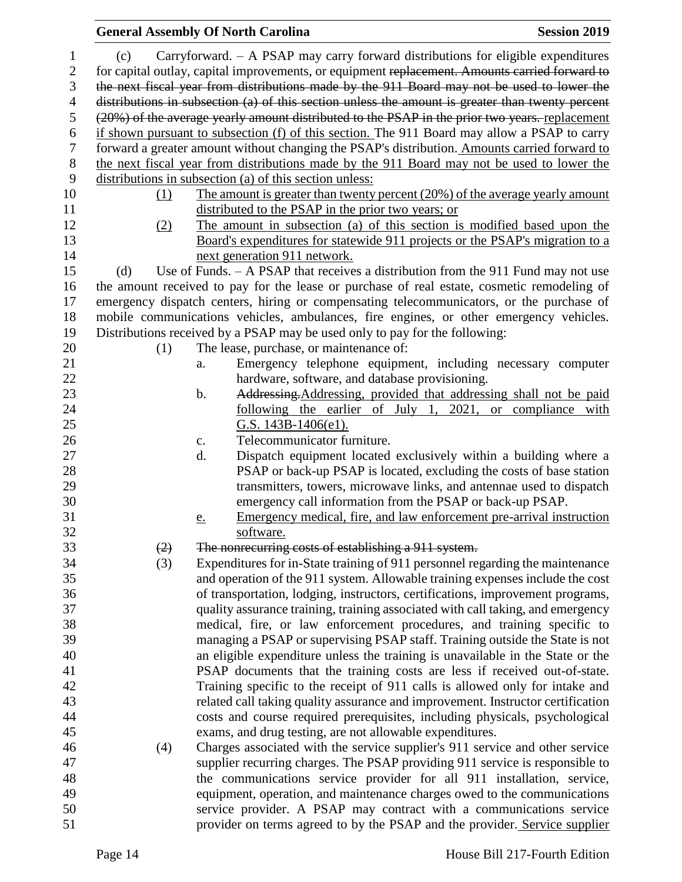|                |     | <b>General Assembly Of North Carolina</b>                                                        | <b>Session 2019</b> |
|----------------|-----|--------------------------------------------------------------------------------------------------|---------------------|
| 1              | (c) | Carryforward. $-$ A PSAP may carry forward distributions for eligible expenditures               |                     |
| $\overline{2}$ |     | for capital outlay, capital improvements, or equipment replacement. Amounts carried forward to   |                     |
| 3              |     | the next fiscal year from distributions made by the 911 Board may not be used to lower the       |                     |
| $\overline{4}$ |     | distributions in subsection (a) of this section unless the amount is greater than twenty percent |                     |
| $\sqrt{5}$     |     | (20%) of the average yearly amount distributed to the PSAP in the prior two years. replacement   |                     |
| 6              |     | if shown pursuant to subsection (f) of this section. The 911 Board may allow a PSAP to carry     |                     |
| $\tau$         |     | forward a greater amount without changing the PSAP's distribution. Amounts carried forward to    |                     |
| $8\,$          |     | the next fiscal year from distributions made by the 911 Board may not be used to lower the       |                     |
| 9              |     | distributions in subsection (a) of this section unless:                                          |                     |
| 10             | (1) | The amount is greater than twenty percent (20%) of the average yearly amount                     |                     |
| 11             |     | distributed to the PSAP in the prior two years; or                                               |                     |
| 12             | (2) | The amount in subsection (a) of this section is modified based upon the                          |                     |
| 13             |     | Board's expenditures for statewide 911 projects or the PSAP's migration to a                     |                     |
| 14             |     | next generation 911 network.                                                                     |                     |
| 15             | (d) | Use of Funds. $-$ A PSAP that receives a distribution from the 911 Fund may not use              |                     |
| 16             |     | the amount received to pay for the lease or purchase of real estate, cosmetic remodeling of      |                     |
| 17             |     | emergency dispatch centers, hiring or compensating telecommunicators, or the purchase of         |                     |
| 18             |     | mobile communications vehicles, ambulances, fire engines, or other emergency vehicles.           |                     |
| 19             |     | Distributions received by a PSAP may be used only to pay for the following:                      |                     |
| 20             | (1) | The lease, purchase, or maintenance of:                                                          |                     |
| 21             |     | Emergency telephone equipment, including necessary computer<br>a.                                |                     |
| 22             |     | hardware, software, and database provisioning.                                                   |                     |
| 23             |     | Addressing, Addressing, provided that addressing shall not be paid<br>$\mathbf b$ .              |                     |
| 24             |     | following the earlier of July 1, 2021, or compliance with                                        |                     |
| 25             |     | G.S. $143B-1406(e1)$ .                                                                           |                     |
| 26             |     | Telecommunicator furniture.<br>c.                                                                |                     |
| 27             |     | Dispatch equipment located exclusively within a building where a<br>d.                           |                     |
| 28             |     | PSAP or back-up PSAP is located, excluding the costs of base station                             |                     |
| 29             |     | transmitters, towers, microwave links, and antennae used to dispatch                             |                     |
| 30             |     | emergency call information from the PSAP or back-up PSAP.                                        |                     |
| 31             |     | Emergency medical, fire, and law enforcement pre-arrival instruction<br>e.                       |                     |
| 32             |     | software.                                                                                        |                     |
| 33             | (2) | The nonrecurring costs of establishing a 911 system.                                             |                     |
| 34             | (3) | Expenditures for in-State training of 911 personnel regarding the maintenance                    |                     |
| 35             |     | and operation of the 911 system. Allowable training expenses include the cost                    |                     |
| 36             |     | of transportation, lodging, instructors, certifications, improvement programs,                   |                     |
| 37             |     | quality assurance training, training associated with call taking, and emergency                  |                     |
| 38             |     | medical, fire, or law enforcement procedures, and training specific to                           |                     |
| 39             |     | managing a PSAP or supervising PSAP staff. Training outside the State is not                     |                     |
| 40             |     | an eligible expenditure unless the training is unavailable in the State or the                   |                     |
| 41             |     | PSAP documents that the training costs are less if received out-of-state.                        |                     |
| 42             |     | Training specific to the receipt of 911 calls is allowed only for intake and                     |                     |
| 43             |     | related call taking quality assurance and improvement. Instructor certification                  |                     |
| 44             |     | costs and course required prerequisites, including physicals, psychological                      |                     |
| 45             |     | exams, and drug testing, are not allowable expenditures.                                         |                     |
| 46             | (4) | Charges associated with the service supplier's 911 service and other service                     |                     |
| 47             |     | supplier recurring charges. The PSAP providing 911 service is responsible to                     |                     |
| 48             |     | the communications service provider for all 911 installation, service,                           |                     |
| 49             |     | equipment, operation, and maintenance charges owed to the communications                         |                     |
| 50             |     | service provider. A PSAP may contract with a communications service                              |                     |
| 51             |     | provider on terms agreed to by the PSAP and the provider. Service supplier                       |                     |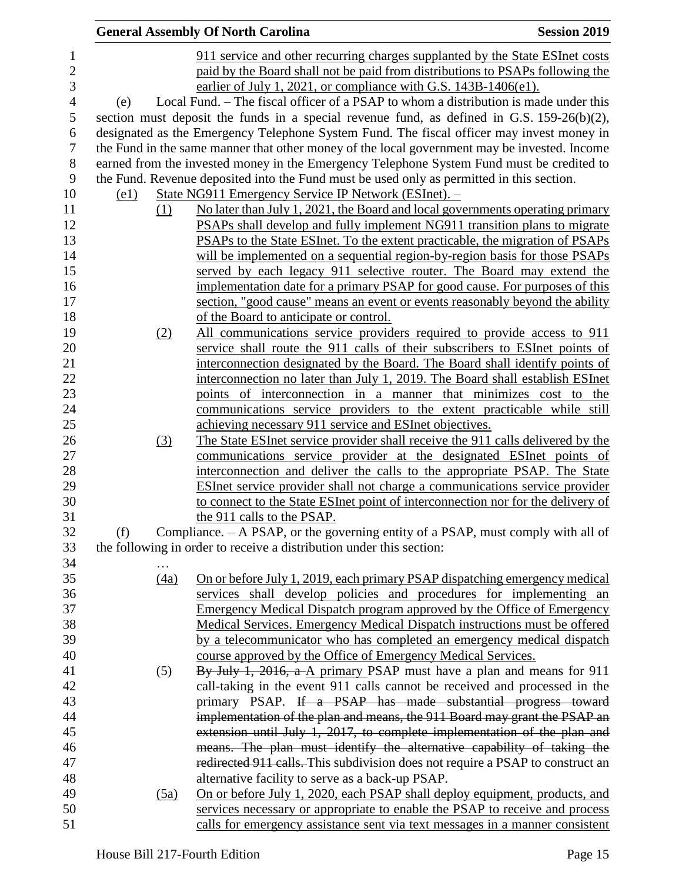|                |                    |      | <b>General Assembly Of North Carolina</b>                                                     | <b>Session 2019</b> |
|----------------|--------------------|------|-----------------------------------------------------------------------------------------------|---------------------|
| $\mathbf{1}$   |                    |      | 911 service and other recurring charges supplanted by the State ESInet costs                  |                     |
| $\mathbf{2}$   |                    |      | paid by the Board shall not be paid from distributions to PSAPs following the                 |                     |
| 3              |                    |      | earlier of July 1, 2021, or compliance with G.S. 143B-1406(e1).                               |                     |
| $\overline{4}$ | (e)                |      | Local Fund. – The fiscal officer of a PSAP to whom a distribution is made under this          |                     |
| 5              |                    |      | section must deposit the funds in a special revenue fund, as defined in G.S. $159-26(b)(2)$ , |                     |
| 6              |                    |      | designated as the Emergency Telephone System Fund. The fiscal officer may invest money in     |                     |
| $\overline{7}$ |                    |      | the Fund in the same manner that other money of the local government may be invested. Income  |                     |
| $8\,$          |                    |      | earned from the invested money in the Emergency Telephone System Fund must be credited to     |                     |
| 9              |                    |      | the Fund. Revenue deposited into the Fund must be used only as permitted in this section.     |                     |
| 10             | $\left( e1\right)$ |      | State NG911 Emergency Service IP Network (ESInet). -                                          |                     |
| 11             |                    | (1)  | No later than July 1, 2021, the Board and local governments operating primary                 |                     |
| 12             |                    |      | <b>PSAPs</b> shall develop and fully implement NG911 transition plans to migrate              |                     |
| 13             |                    |      | <b>PSAPs to the State ESInet.</b> To the extent practicable, the migration of PSAPs           |                     |
| 14             |                    |      | will be implemented on a sequential region-by-region basis for those PSAPs                    |                     |
| 15             |                    |      | served by each legacy 911 selective router. The Board may extend the                          |                     |
| 16             |                    |      | implementation date for a primary PSAP for good cause. For purposes of this                   |                     |
| 17             |                    |      | section, "good cause" means an event or events reasonably beyond the ability                  |                     |
| 18             |                    |      | of the Board to anticipate or control.                                                        |                     |
| 19             |                    | (2)  | All communications service providers required to provide access to 911                        |                     |
| 20             |                    |      | service shall route the 911 calls of their subscribers to ESInet points of                    |                     |
| 21             |                    |      | interconnection designated by the Board. The Board shall identify points of                   |                     |
| 22             |                    |      | interconnection no later than July 1, 2019. The Board shall establish ESInet                  |                     |
| 23             |                    |      | points of interconnection in a manner that minimizes cost to the                              |                     |
| 24             |                    |      | communications service providers to the extent practicable while still                        |                     |
| 25             |                    |      | achieving necessary 911 service and ESInet objectives.                                        |                     |
| 26             |                    | (3)  | The State ESInet service provider shall receive the 911 calls delivered by the                |                     |
| 27             |                    |      | communications service provider at the designated ESInet points of                            |                     |
| 28             |                    |      | interconnection and deliver the calls to the appropriate PSAP. The State                      |                     |
| 29             |                    |      | ESInet service provider shall not charge a communications service provider                    |                     |
| 30             |                    |      | to connect to the State ESInet point of interconnection nor for the delivery of               |                     |
| 31             |                    |      | the 911 calls to the PSAP.                                                                    |                     |
| 32             | (f)                |      | Compliance. $-$ A PSAP, or the governing entity of a PSAP, must comply with all of            |                     |
| 33             |                    |      | the following in order to receive a distribution under this section:                          |                     |
| 34             |                    |      |                                                                                               |                     |
| 35             |                    | (4a) | On or before July 1, 2019, each primary PSAP dispatching emergency medical                    |                     |
| 36             |                    |      | services shall develop policies and procedures for implementing an                            |                     |
| 37             |                    |      | <b>Emergency Medical Dispatch program approved by the Office of Emergency</b>                 |                     |
| 38             |                    |      | Medical Services. Emergency Medical Dispatch instructions must be offered                     |                     |
| 39             |                    |      | by a telecommunicator who has completed an emergency medical dispatch                         |                     |
| 40             |                    |      | course approved by the Office of Emergency Medical Services.                                  |                     |
| 41             |                    | (5)  | By July 1, 2016, a A primary PSAP must have a plan and means for 911                          |                     |
| 42             |                    |      | call-taking in the event 911 calls cannot be received and processed in the                    |                     |
| 43             |                    |      | primary PSAP. If a PSAP has made substantial progress toward                                  |                     |
| 44             |                    |      | implementation of the plan and means, the 911 Board may grant the PSAP an                     |                     |
| 45             |                    |      | extension until July 1, 2017, to complete implementation of the plan and                      |                     |
| 46             |                    |      | means. The plan must identify the alternative capability of taking the                        |                     |
| 47             |                    |      | redirected 911 calls. This subdivision does not require a PSAP to construct an                |                     |
| 48             |                    |      | alternative facility to serve as a back-up PSAP.                                              |                     |
| 49             |                    | (5a) | <u>On or before July 1, 2020, each PSAP shall deploy equipment, products, and</u>             |                     |
| 50             |                    |      | services necessary or appropriate to enable the PSAP to receive and process                   |                     |
| 51             |                    |      | calls for emergency assistance sent via text messages in a manner consistent                  |                     |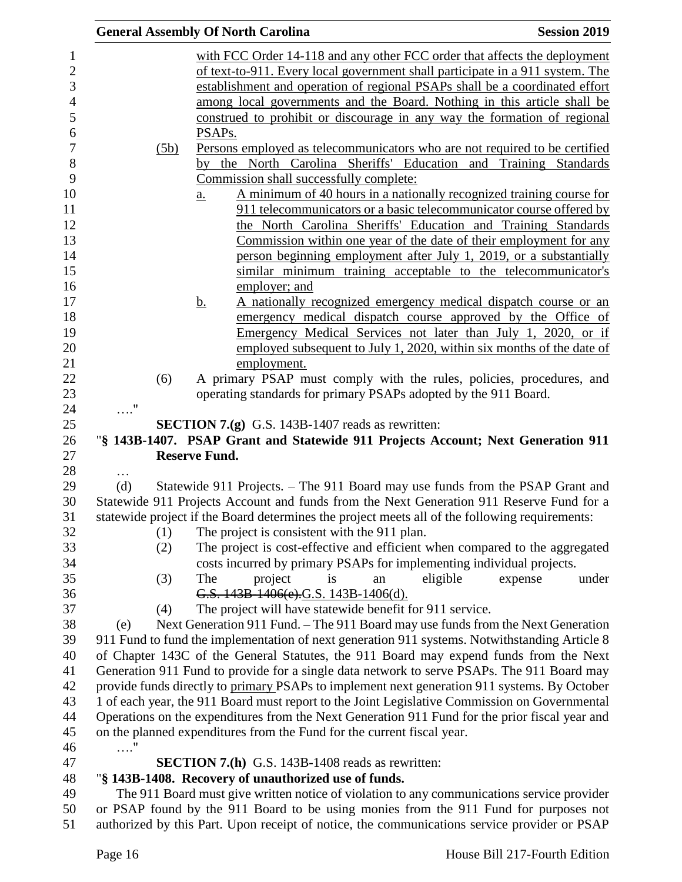| <b>General Assembly Of North Carolina</b><br><b>Session 2019</b>                                                                                                                       |                                                                                                                                                                           |  |
|----------------------------------------------------------------------------------------------------------------------------------------------------------------------------------------|---------------------------------------------------------------------------------------------------------------------------------------------------------------------------|--|
|                                                                                                                                                                                        | with FCC Order 14-118 and any other FCC order that affects the deployment                                                                                                 |  |
|                                                                                                                                                                                        | of text-to-911. Every local government shall participate in a 911 system. The                                                                                             |  |
|                                                                                                                                                                                        | establishment and operation of regional PSAPs shall be a coordinated effort                                                                                               |  |
|                                                                                                                                                                                        | among local governments and the Board. Nothing in this article shall be                                                                                                   |  |
|                                                                                                                                                                                        | construed to prohibit or discourage in any way the formation of regional                                                                                                  |  |
|                                                                                                                                                                                        | PSAP <sub>s</sub> .                                                                                                                                                       |  |
| (5b)                                                                                                                                                                                   | Persons employed as telecommunicators who are not required to be certified                                                                                                |  |
|                                                                                                                                                                                        | by the North Carolina Sheriffs' Education and Training Standards                                                                                                          |  |
|                                                                                                                                                                                        | Commission shall successfully complete:                                                                                                                                   |  |
|                                                                                                                                                                                        | A minimum of 40 hours in a nationally recognized training course for<br>$\underline{\mathbf{a}}$ .                                                                        |  |
|                                                                                                                                                                                        | 911 telecommunicators or a basic telecommunicator course offered by                                                                                                       |  |
|                                                                                                                                                                                        | the North Carolina Sheriffs' Education and Training Standards                                                                                                             |  |
|                                                                                                                                                                                        | <u>Commission within one year of the date of their employment for any</u>                                                                                                 |  |
|                                                                                                                                                                                        | person beginning employment after July 1, 2019, or a substantially                                                                                                        |  |
|                                                                                                                                                                                        | similar minimum training acceptable to the telecommunicator's                                                                                                             |  |
|                                                                                                                                                                                        | employer; and                                                                                                                                                             |  |
|                                                                                                                                                                                        | A nationally recognized emergency medical dispatch course or an<br><u>b.</u>                                                                                              |  |
|                                                                                                                                                                                        | emergency medical dispatch course approved by the Office of                                                                                                               |  |
|                                                                                                                                                                                        | Emergency Medical Services not later than July 1, 2020, or if                                                                                                             |  |
|                                                                                                                                                                                        | employed subsequent to July 1, 2020, within six months of the date of                                                                                                     |  |
|                                                                                                                                                                                        | employment.                                                                                                                                                               |  |
| (6)                                                                                                                                                                                    | A primary PSAP must comply with the rules, policies, procedures, and                                                                                                      |  |
|                                                                                                                                                                                        | operating standards for primary PSAPs adopted by the 911 Board.                                                                                                           |  |
| $\ldots$ "                                                                                                                                                                             |                                                                                                                                                                           |  |
|                                                                                                                                                                                        | <b>SECTION 7.(g)</b> G.S. 143B-1407 reads as rewritten:                                                                                                                   |  |
|                                                                                                                                                                                        | "§ 143B-1407. PSAP Grant and Statewide 911 Projects Account; Next Generation 911                                                                                          |  |
|                                                                                                                                                                                        | <b>Reserve Fund.</b>                                                                                                                                                      |  |
| .                                                                                                                                                                                      |                                                                                                                                                                           |  |
| (d)                                                                                                                                                                                    | Statewide 911 Projects. – The 911 Board may use funds from the PSAP Grant and<br>Statewide 911 Projects Account and funds from the Next Generation 911 Reserve Fund for a |  |
|                                                                                                                                                                                        | statewide project if the Board determines the project meets all of the following requirements:                                                                            |  |
| (1)                                                                                                                                                                                    | The project is consistent with the 911 plan.                                                                                                                              |  |
| (2)                                                                                                                                                                                    | The project is cost-effective and efficient when compared to the aggregated                                                                                               |  |
|                                                                                                                                                                                        | costs incurred by primary PSAPs for implementing individual projects.                                                                                                     |  |
| (3)                                                                                                                                                                                    | The<br>eligible<br>project<br>is<br>under<br>expense<br>an                                                                                                                |  |
|                                                                                                                                                                                        | G.S. 143B-1406(e).G.S. 143B-1406(d).                                                                                                                                      |  |
| (4)                                                                                                                                                                                    | The project will have statewide benefit for 911 service.                                                                                                                  |  |
| (e)                                                                                                                                                                                    | Next Generation 911 Fund. - The 911 Board may use funds from the Next Generation                                                                                          |  |
|                                                                                                                                                                                        |                                                                                                                                                                           |  |
| 911 Fund to fund the implementation of next generation 911 systems. Notwithstanding Article 8<br>of Chapter 143C of the General Statutes, the 911 Board may expend funds from the Next |                                                                                                                                                                           |  |
|                                                                                                                                                                                        | Generation 911 Fund to provide for a single data network to serve PSAPs. The 911 Board may                                                                                |  |
|                                                                                                                                                                                        | provide funds directly to primary PSAPs to implement next generation 911 systems. By October                                                                              |  |
|                                                                                                                                                                                        | 1 of each year, the 911 Board must report to the Joint Legislative Commission on Governmental                                                                             |  |
|                                                                                                                                                                                        | Operations on the expenditures from the Next Generation 911 Fund for the prior fiscal year and                                                                            |  |
|                                                                                                                                                                                        | on the planned expenditures from the Fund for the current fiscal year.                                                                                                    |  |
| $\ldots$ "                                                                                                                                                                             |                                                                                                                                                                           |  |
|                                                                                                                                                                                        | <b>SECTION 7.(h)</b> G.S. 143B-1408 reads as rewritten:                                                                                                                   |  |
|                                                                                                                                                                                        | "§ 143B-1408. Recovery of unauthorized use of funds.                                                                                                                      |  |
|                                                                                                                                                                                        | The 911 Board must give written notice of violation to any communications service provider                                                                                |  |
|                                                                                                                                                                                        | or PSAP found by the 911 Board to be using monies from the 911 Fund for purposes not                                                                                      |  |
| authorized by this Part. Upon receipt of notice, the communications service provider or PSAP                                                                                           |                                                                                                                                                                           |  |